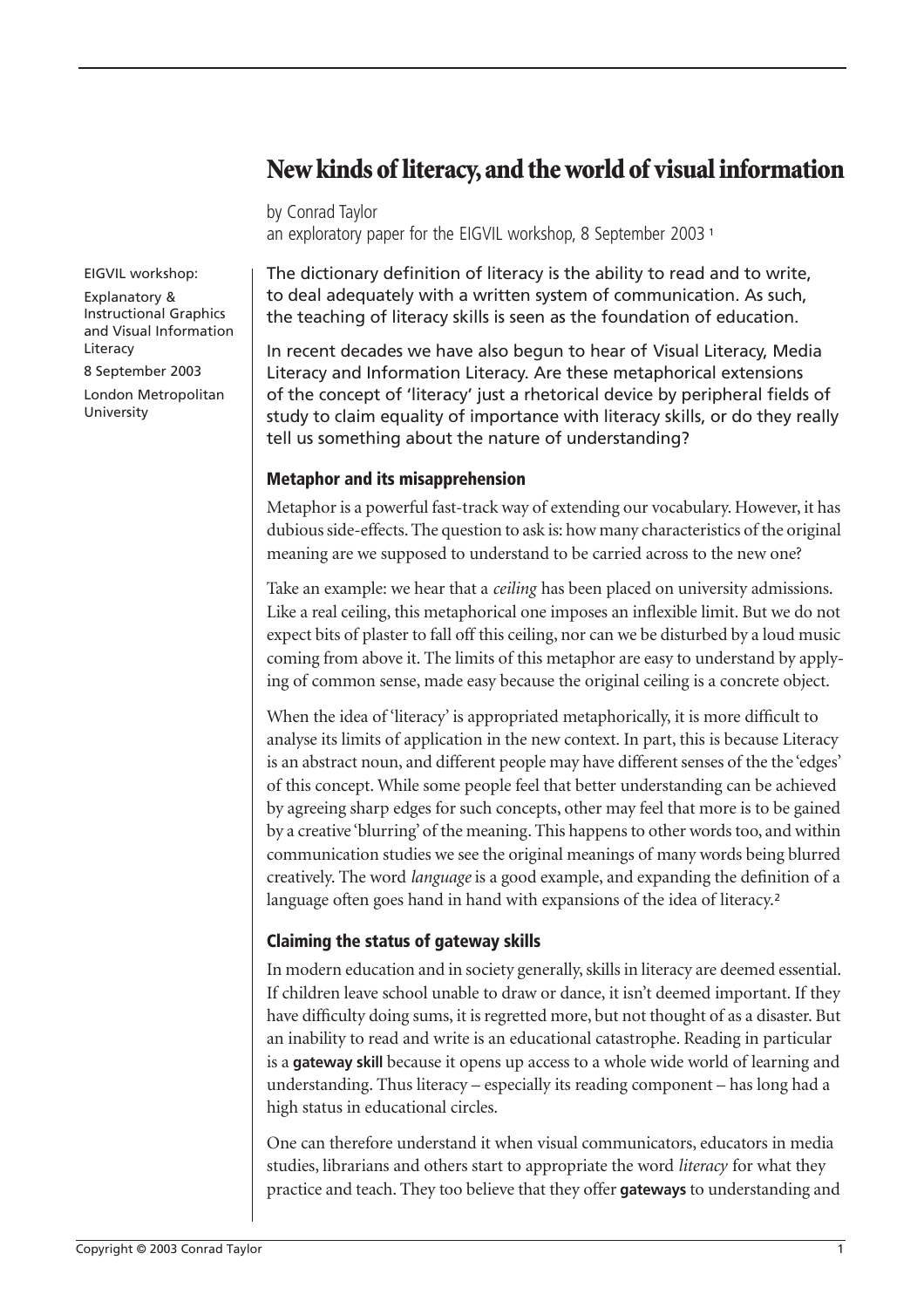## **New kinds of literacy, and the world of visual information**

by Conrad Taylor an exploratory paper for the EIGVIL workshop, 8 September 2003 <sup>1</sup>

EIGVIL workshop:

Explanatory & Instructional Graphics and Visual Information Literacy

8 September 2003

London Metropolitan University

The dictionary definition of literacy is the ability to read and to write, to deal adequately with a written system of communication. As such, the teaching of literacy skills is seen as the foundation of education.

In recent decades we have also begun to hear of Visual Literacy, Media Literacy and Information Literacy. Are these metaphorical extensions of the concept of 'literacy' just a rhetorical device by peripheral fields of study to claim equality of importance with literacy skills, or do they really tell us something about the nature of understanding?

### **Metaphor and its misapprehension**

Metaphor is a powerful fast-track way of extending our vocabulary. However, it has dubious side-effects. The question to ask is: how many characteristics of the original meaning are we supposed to understand to be carried across to the new one?

Take an example: we hear that a *ceiling* has been placed on university admissions. Like a real ceiling, this metaphorical one imposes an inflexible limit. But we do not expect bits of plaster to fall off this ceiling, nor can we be disturbed by a loud music coming from above it. The limits of this metaphor are easy to understand by applying of common sense, made easy because the original ceiling is a concrete object.

When the idea of 'literacy' is appropriated metaphorically, it is more difficult to analyse its limits of application in the new context. In part, this is because Literacy is an abstract noun, and different people may have different senses of the the 'edges' of this concept. While some people feel that better understanding can be achieved by agreeing sharp edges for such concepts, other may feel that more is to be gained by a creative 'blurring' of the meaning. This happens to other words too, and within communication studies we see the original meanings of many words being blurred creatively. The word *language* is a good example, and expanding the definition of a language often goes hand in hand with expansions of the idea of literacy.<sup>2</sup>

## **Claiming the status of gateway skills**

In modern education and in society generally, skills in literacy are deemed essential. If children leave school unable to draw or dance, it isn't deemed important. If they have difficulty doing sums, it is regretted more, but not thought of as a disaster. But an inability to read and write is an educational catastrophe. Reading in particular is a **gateway skill** because it opens up access to a whole wide world of learning and understanding. Thus literacy – especially its reading component – has long had a high status in educational circles.

One can therefore understand it when visual communicators, educators in media studies, librarians and others start to appropriate the word *literacy* for what they practice and teach. They too believe that they offer **gateways** to understanding and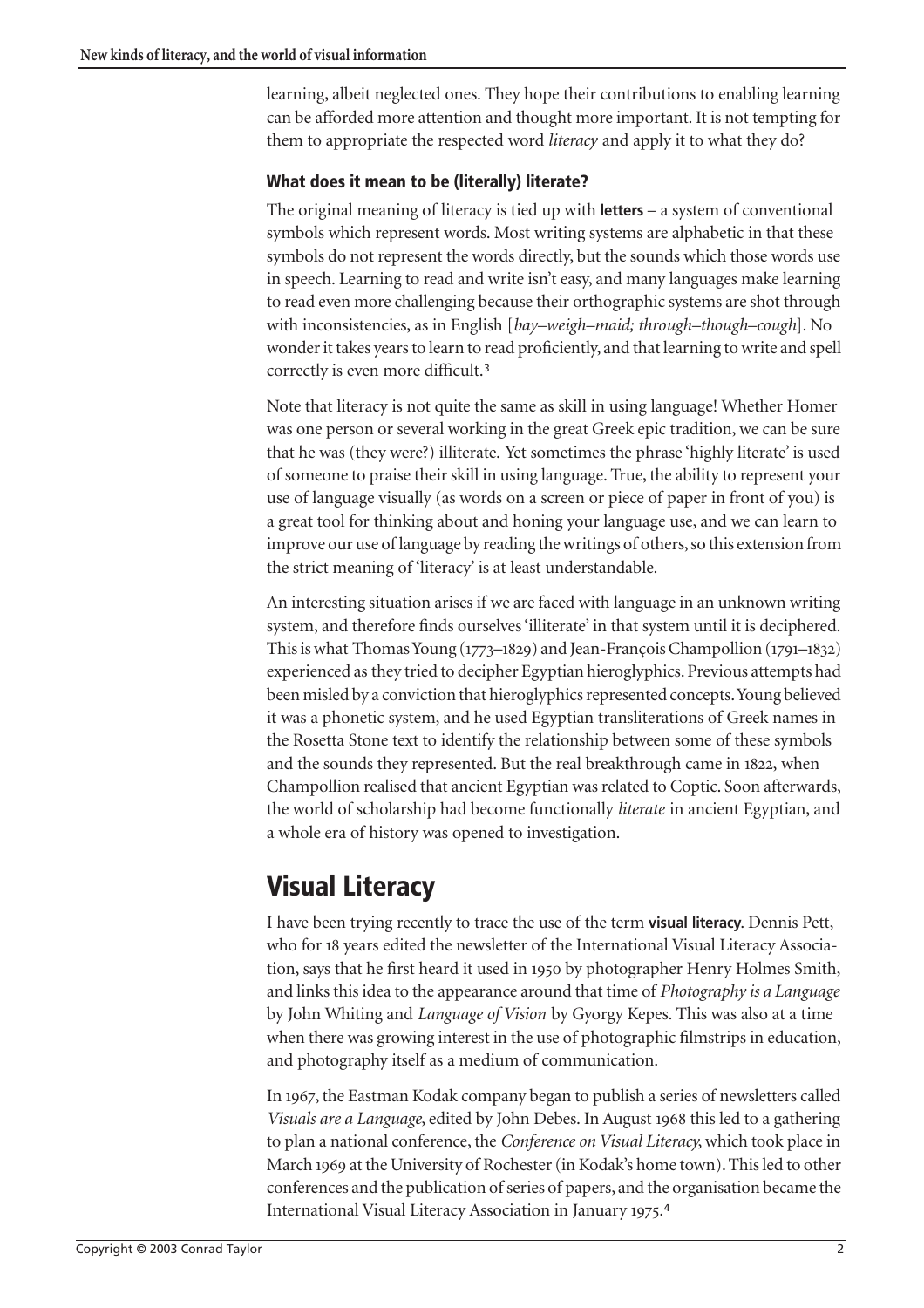learning, albeit neglected ones. They hope their contributions to enabling learning can be afforded more attention and thought more important. It is not tempting for them to appropriate the respected word *literacy* and apply it to what they do?

### **What does it mean to be (literally) literate?**

The original meaning of literacy is tied up with **letters** – a system of conventional symbols which represent words. Most writing systems are alphabetic in that these symbols do not represent the words directly, but the sounds which those words use in speech. Learning to read and write isn't easy, and many languages make learning to read even more challenging because their orthographic systems are shot through with inconsistencies, as in English [*bay–weigh–maid; through–though–cough*]. No wonder it takes years to learn to read proficiently, and that learning to write and spell correctly is even more difficult.[3](#page-19-0)

Note that literacy is not quite the same as skill in using language! Whether Homer was one person or several working in the great Greek epic tradition, we can be sure that he was (they were?) illiterate. Yet sometimes the phrase 'highly literate' is used of someone to praise their skill in using language. True, the ability to represent your use of language visually (as words on a screen or piece of paper in front of you) is a great tool for thinking about and honing your language use, and we can learn to improve our use of language by reading the writings of others, so this extension from the strict meaning of 'literacy' is at least understandable.

An interesting situation arises if we are faced with language in an unknown writing system, and therefore finds ourselves 'illiterate' in that system until it is deciphered. This is what Thomas Young  $(1773-1829)$  and Jean-François Champollion  $(1791-1832)$ experienced as they tried to decipher Egyptian hieroglyphics. Previous attempts had been misled by a conviction that hieroglyphics represented concepts. Young believed it was a phonetic system, and he used Egyptian transliterations of Greek names in the Rosetta Stone text to identify the relationship between some of these symbols and the sounds they represented. But the real breakthrough came in 1822, when Champollion realised that ancient Egyptian was related to Coptic. Soon afterwards, the world of scholarship had become functionally *literate* in ancient Egyptian, and a whole era of history was opened to investigation.

## **Visual Literacy**

I have been trying recently to trace the use of the term **visual literacy**. Dennis Pett, who for 18 years edited the newsletter of the International Visual Literacy Association, says that he first heard it used in 1950 by photographer Henry Holmes Smith, and links this idea to the appearance around that time of *Photography is a Language* by John Whiting and *Language of Vision* by Gyorgy Kepes. This was also at a time when there was growing interest in the use of photographic filmstrips in education, and photography itself as a medium of communication.

In 1967, the Eastman Kodak company began to publish a series of newsletters called *Visuals are a Language*, edited by John Debes. In August 1968 this led to a gathering to plan a national conference, the *Conference on Visual Literacy*, which took place in March 1969 at the University of Rochester (in Kodak's home town). This led to other conferences and the publication of series of papers, and the organisation became the International Visual Literacy Association in January 1975.<sup>[4](#page-19-1)</sup>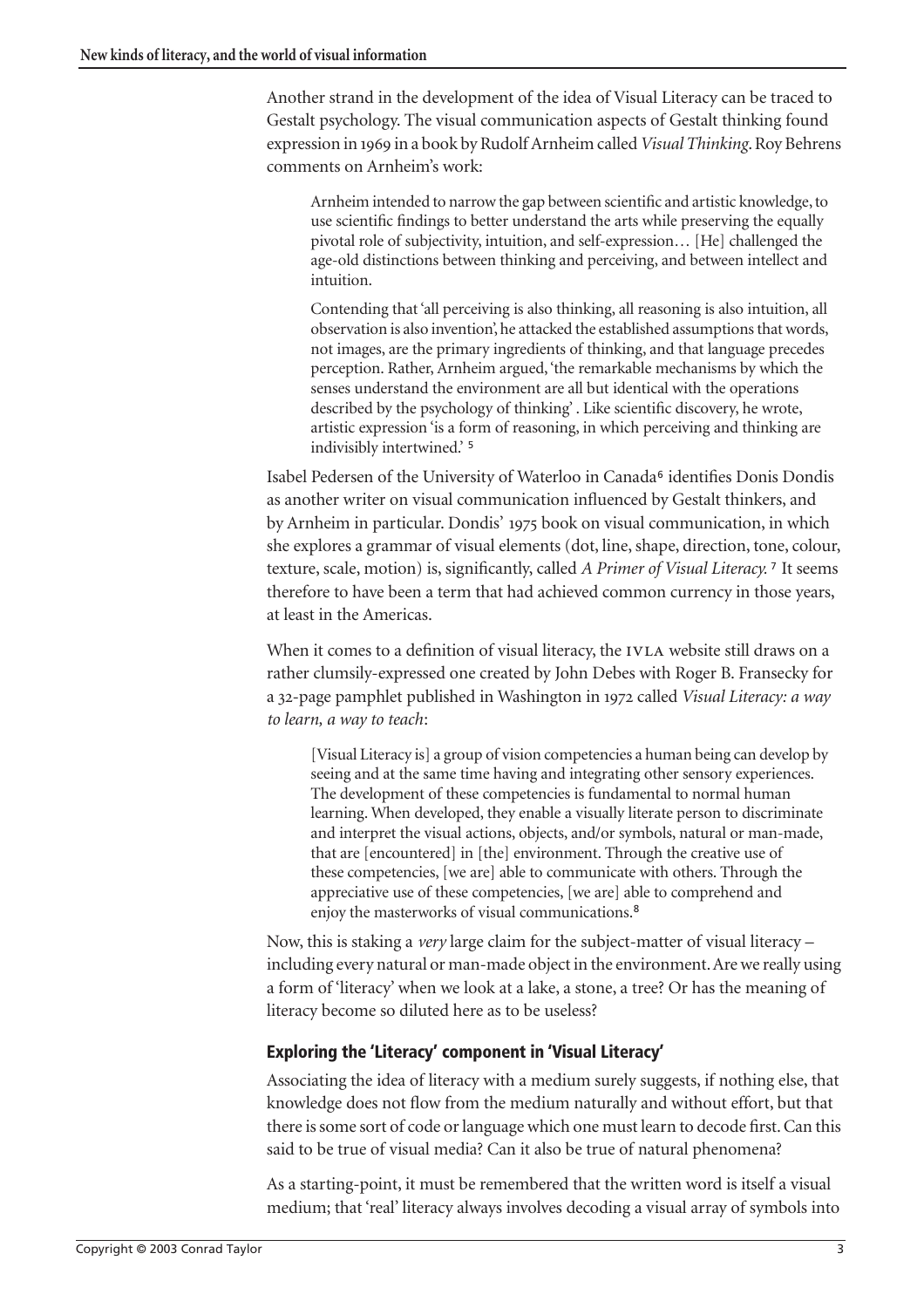Another strand in the development of the idea of Visual Literacy can be traced to Gestalt psychology. The visual communication aspects of Gestalt thinking found expression in in a book by Rudolf Arnheim called *Visual Thinking*. Roy Behrens comments on Arnheim's work:

Arnheim intended to narrow the gap between scientific and artistic knowledge, to use scientific findings to better understand the arts while preserving the equally pivotal role of subjectivity, intuition, and self-expression… [He] challenged the age-old distinctions between thinking and perceiving, and between intellect and intuition.

Contending that 'all perceiving is also thinking, all reasoning is also intuition, all observation is also invention', he attacked the established assumptions that words, not images, are the primary ingredients of thinking, and that language precedes perception. Rather, Arnheim argued, 'the remarkable mechanisms by which the senses understand the environment are all but identical with the operations described by the psychology of thinking' . Like scientific discovery, he wrote, artistic expression 'is a form of reasoning, in which perceiving and thinking are indivisibly intertwined.' [5](#page-19-3)

Isabel Pedersen of the University of Waterloo in Canada<sup>6</sup> identifies Donis Dondis as another writer on visual communication influenced by Gestalt thinkers, and by Arnheim in particular. Dondis' 1975 book on visual communication, in which she explores a grammar of visual elements (dot, line, shape, direction, tone, colour, texture, scale, motion) is, significantly, called *A Primer of Visual Literacy.* [7](#page-19-4) It seems therefore to have been a term that had achieved common currency in those years, at least in the Americas.

When it comes to a definition of visual literacy, the IVLA website still draws on a rather clumsily-expressed one created by John Debes with Roger B. Fransecky for a 32-page pamphlet published in Washington in 1972 called *Visual Literacy: a way to learn, a way to teach*:

[Visual Literacy is] a group of vision competencies a human being can develop by seeing and at the same time having and integrating other sensory experiences. The development of these competencies is fundamental to normal human learning. When developed, they enable a visually literate person to discriminate and interpret the visual actions, objects, and/or symbols, natural or man-made, that are [encountered] in [the] environment. Through the creative use of these competencies, [we are] able to communicate with others. Through the appreciative use of these competencies, [we are] able to comprehend and enjoy the masterworks of visual communications.[8](#page-19-2)

Now, this is staking a *very* large claim for the subject-matter of visual literacy – including every natural or man-made object in the environment. Are we really using a form of 'literacy' when we look at a lake, a stone, a tree? Or has the meaning of literacy become so diluted here as to be useless?

## **Exploring the 'Literacy' component in 'Visual Literacy'**

Associating the idea of literacy with a medium surely suggests, if nothing else, that knowledge does not flow from the medium naturally and without effort, but that there is some sort of code or language which one must learn to decode first. Can this said to be true of visual media? Can it also be true of natural phenomena?

As a starting-point, it must be remembered that the written word is itself a visual medium; that 'real' literacy always involves decoding a visual array of symbols into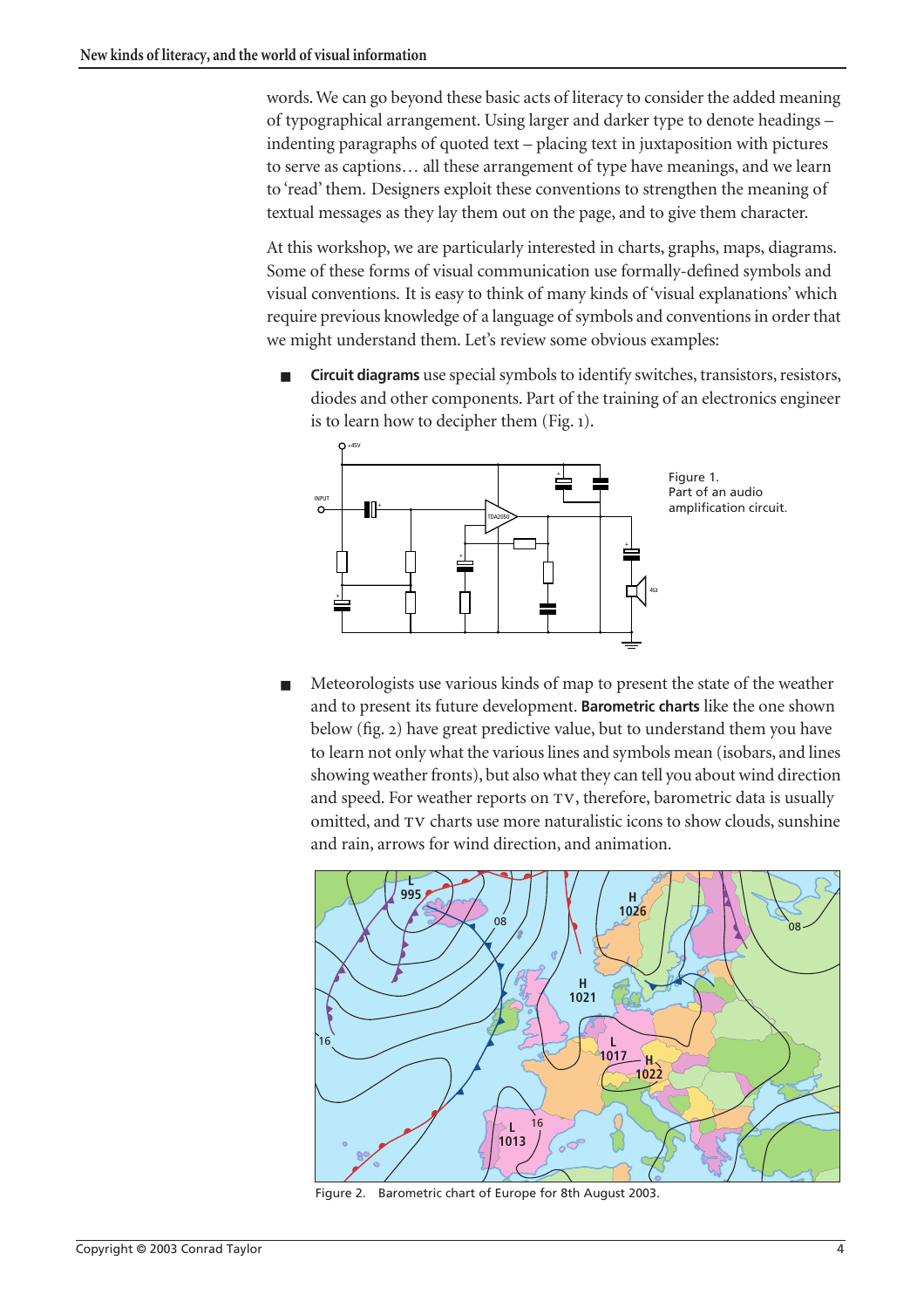words. We can go beyond these basic acts of literacy to consider the added meaning of typographical arrangement. Using larger and darker type to denote headings – indenting paragraphs of quoted text – placing text in juxtaposition with pictures to serve as captions… all these arrangement of type have meanings, and we learn to 'read' them. Designers exploit these conventions to strengthen the meaning of textual messages as they lay them out on the page, and to give them character.

At this workshop, we are particularly interested in charts, graphs, maps, diagrams. Some of these forms of visual communication use formally-defined symbols and visual conventions. It is easy to think of many kinds of 'visual explanations' which require previous knowledge of a language of symbols and conventions in order that we might understand them. Let's review some obvious examples:

<span id="page-3-0"></span>■ **Circuit diagrams** use special symbols to identify switches, transistors, resistors, diodes and other components. Part of the training of an electronics engineer is to learn how to decipher them (Fig. ).



Meteorologists use various kinds of map to present the state of the weather and to present its future development. **Barometric charts** like the one shown below (fig. 2) have great predictive value, but to understand them you have to learn not only what the various lines and symbols mean (isobars, and lines showing weather fronts), but also what they can tell you about wind direction and speed. For weather reports on TV, therefore, barometric data is usually omitted, and TV charts use more naturalistic icons to show clouds, sunshine and rain, arrows for wind direction, and animation.



Figure 2. Barometric chart of Europe for 8th August 2003.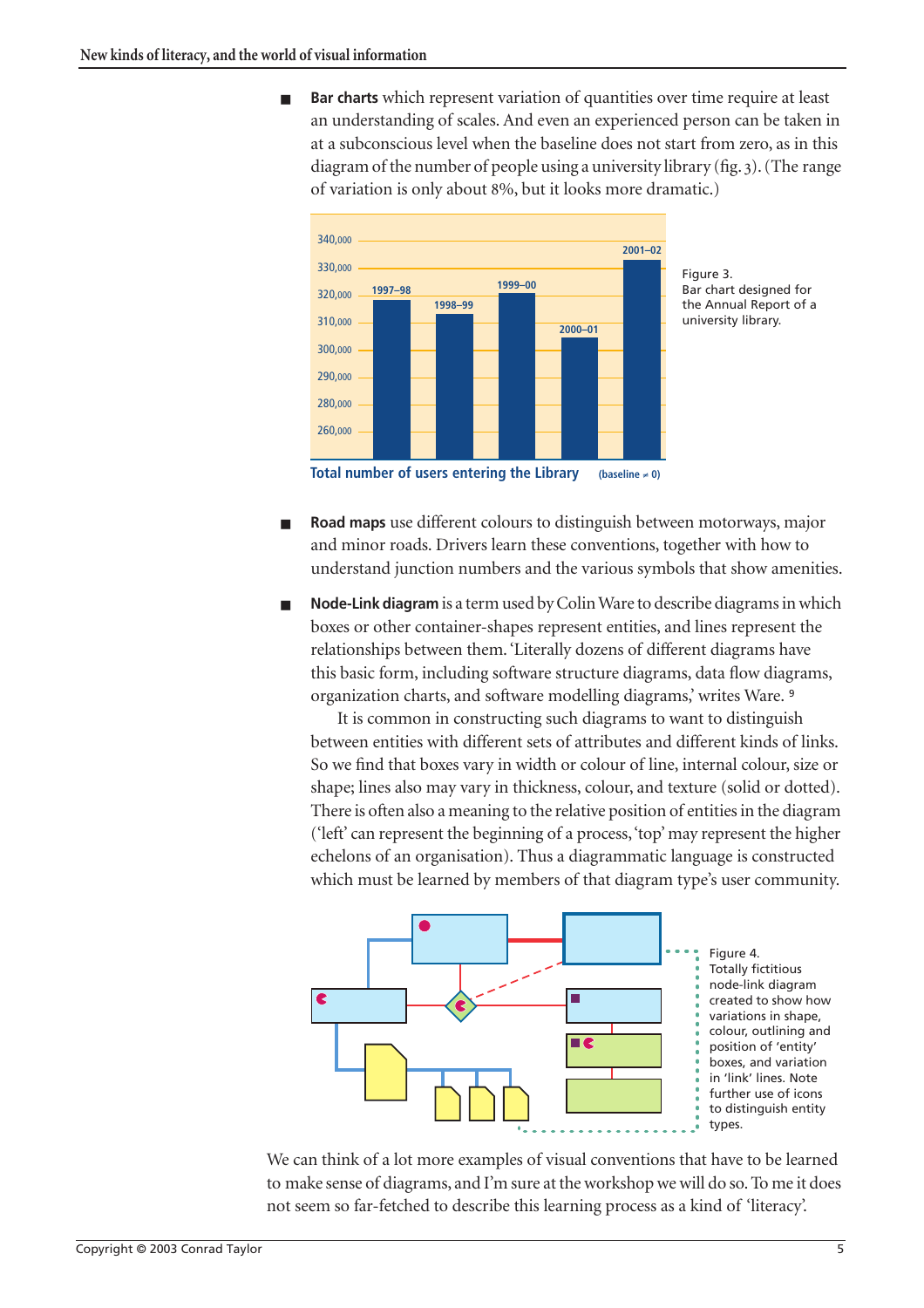**Bar charts** which represent variation of quantities over time require at least an understanding of scales. And even an experienced person can be taken in at a subconscious level when the baseline does not start from zero, as in this diagram of the number of people using a university library (fig. ). (The range of variation is only about 8%, but it looks more dramatic.)



Bar chart designed for the Annual Report of a university library.

**Total number of users entering the Library (baseline** ≠ **0)**

- **Road maps** use different colours to distinguish between motorways, major and minor roads. Drivers learn these conventions, together with how to understand junction numbers and the various symbols that show amenities.
- Node-Link diagram is a term used by Colin Ware to describe diagrams in which boxes or other container-shapes represent entities, and lines represent the relationships between them. 'Literally dozens of different diagrams have this basic form, including software structure diagrams, data flow diagrams, organization charts, and software modelling diagrams,' writes Ware. [9](#page-19-5)

It is common in constructing such diagrams to want to distinguish between entities with different sets of attributes and different kinds of links. So we find that boxes vary in width or colour of line, internal colour, size or shape; lines also may vary in thickness, colour, and texture (solid or dotted). There is often also a meaning to the relative position of entities in the diagram ('left' can represent the beginning of a process, 'top' may represent the higher echelons of an organisation). Thus a diagrammatic language is constructed which must be learned by members of that diagram type's user community.



We can think of a lot more examples of visual conventions that have to be learned to make sense of diagrams, and I'm sure at the workshop we will do so. To me it does not seem so far-fetched to describe this learning process as a kind of 'literacy'.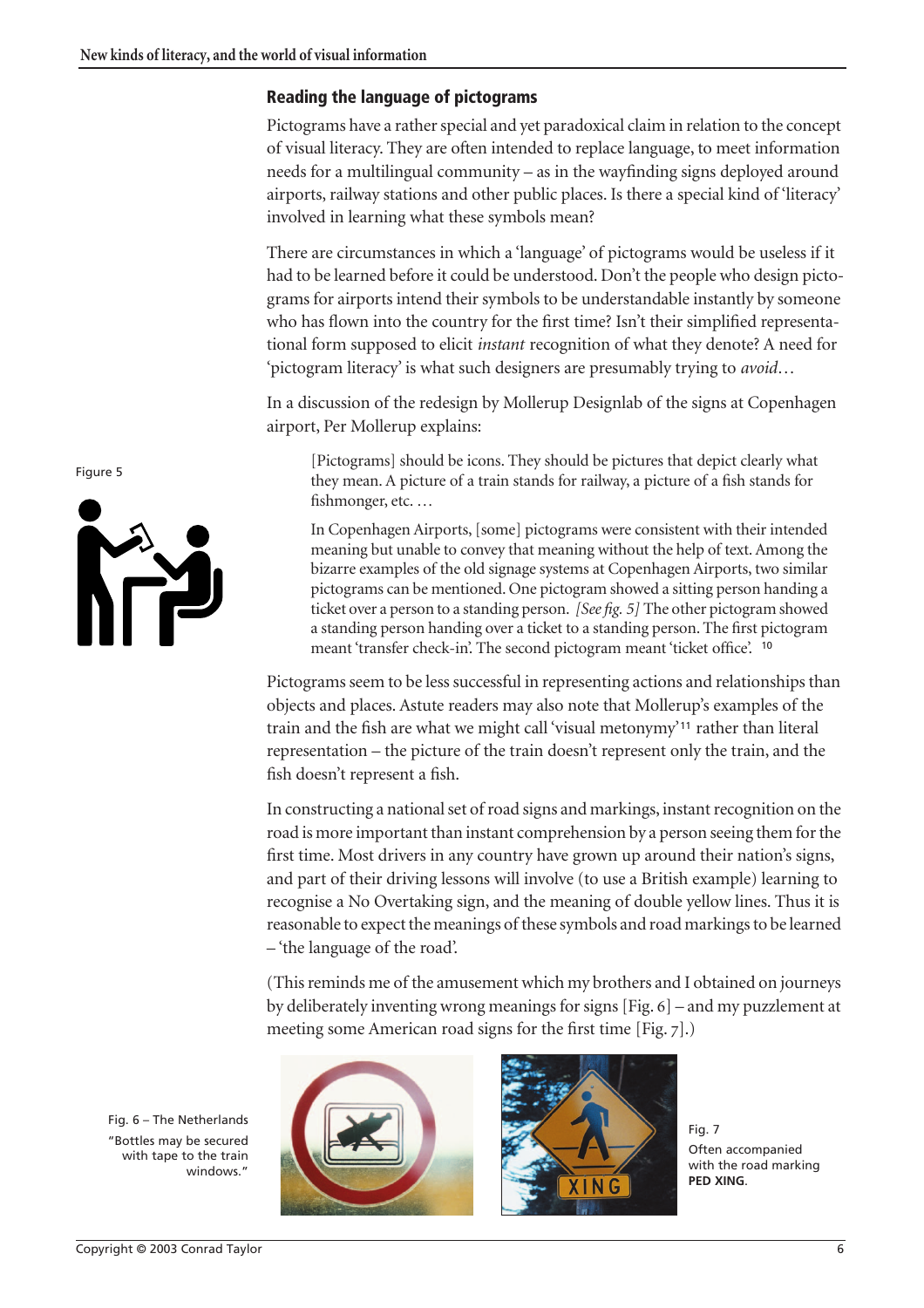#### **Reading the language of pictograms**

Pictograms have a rather special and yet paradoxical claim in relation to the concept of visual literacy. They are often intended to replace language, to meet information needs for a multilingual community – as in the wayfinding signs deployed around airports, railway stations and other public places. Is there a special kind of 'literacy' involved in learning what these symbols mean?

There are circumstances in which a 'language' of pictograms would be useless if it had to be learned before it could be understood. Don't the people who design pictograms for airports intend their symbols to be understandable instantly by someone who has flown into the country for the first time? Isn't their simplified representational form supposed to elicit *instant* recognition of what they denote? A need for 'pictogram literacy' is what such designers are presumably trying to *avoid*…

In a discussion of the redesign by Mollerup Designlab of the signs at Copenhagen airport, Per Mollerup explains:

[Pictograms] should be icons. They should be pictures that depict clearly what they mean. A picture of a train stands for railway, a picture of a fish stands for fishmonger, etc. …

In Copenhagen Airports, [some] pictograms were consistent with their intended meaning but unable to convey that meaning without the help of text. Among the bizarre examples of the old signage systems at Copenhagen Airports, two similar pictograms can be mentioned. One pictogram showed a sitting person handing a ticket over a person to a standing person. *[See fig. 5]* The other pictogram showed a standing person handing over a ticket to a standing person. The first pictogram meant 'transfer check-in'. The second pictogram meant 'ticket office'. [10](#page-19-6)

Pictograms seem to be less successful in representing actions and relationships than objects and places. Astute readers may also note that Mollerup's examples of the train and the fish are what we might call 'visual metonymy'[11](#page-19-7) rather than literal representation – the picture of the train doesn't represent only the train, and the fish doesn't represent a fish.

In constructing a national set of road signs and markings, instant recognition on the road is more important than instant comprehension by a person seeing them for the first time. Most drivers in any country have grown up around their nation's signs, and part of their driving lessons will involve (to use a British example) learning to recognise a No Overtaking sign, and the meaning of double yellow lines. Thus it is reasonable to expect the meanings of these symbols and road markings to be learned – 'the language of the road'.

(This reminds me of the amusement which my brothers and I obtained on journeys by deliberately inventing wrong meanings for signs  $[Fig. 6]$  – and my puzzlement at meeting some American road signs for the first time  $[Fig. 7]$ .





Fig. 7 Often accompanied with the road marking **PED XING**.

Figure 5



Fig. 6 – The Netherlands "Bottles may be secured with tape to the train windows."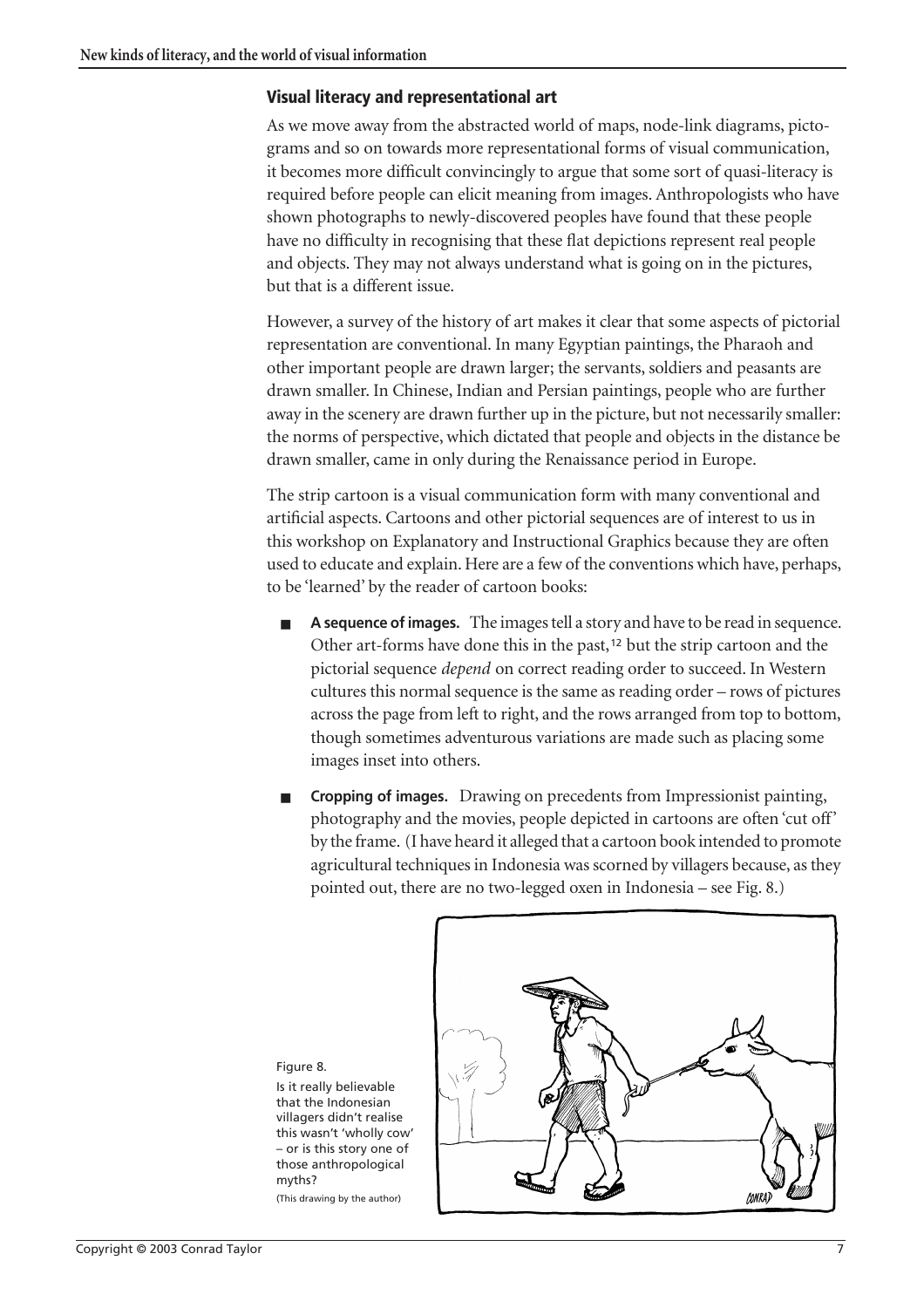#### **Visual literacy and representational art**

As we move away from the abstracted world of maps, node-link diagrams, pictograms and so on towards more representational forms of visual communication, it becomes more difficult convincingly to argue that some sort of quasi-literacy is required before people can elicit meaning from images. Anthropologists who have shown photographs to newly-discovered peoples have found that these people have no difficulty in recognising that these flat depictions represent real people and objects. They may not always understand what is going on in the pictures, but that is a different issue.

However, a survey of the history of art makes it clear that some aspects of pictorial representation are conventional. In many Egyptian paintings, the Pharaoh and other important people are drawn larger; the servants, soldiers and peasants are drawn smaller. In Chinese, Indian and Persian paintings, people who are further away in the scenery are drawn further up in the picture, but not necessarily smaller: the norms of perspective, which dictated that people and objects in the distance be drawn smaller, came in only during the Renaissance period in Europe.

The strip cartoon is a visual communication form with many conventional and artificial aspects. Cartoons and other pictorial sequences are of interest to us in this workshop on Explanatory and Instructional Graphics because they are often used to educate and explain. Here are a few of the conventions which have, perhaps, to be 'learned' by the reader of cartoon books:

- A **sequence of images.** The images tell a story and have to be read in sequence. Other art-forms have done this in the past,<sup>[12](#page-20-0)</sup> but the strip cartoon and the pictorial sequence *depend* on correct reading order to succeed. In Western cultures this normal sequence is the same as reading order – rows of pictures across the page from left to right, and the rows arranged from top to bottom, though sometimes adventurous variations are made such as placing some images inset into others.
- **Cropping of images.** Drawing on precedents from Impressionist painting, photography and the movies, people depicted in cartoons are often 'cut off' by the frame. (I have heard it alleged that a cartoon book intended to promote agricultural techniques in Indonesia was scorned by villagers because, as they pointed out, there are no two-legged oxen in Indonesia – see Fig. 8.)



Is it really believable that the Indonesian villagers didn't realise this wasn't 'wholly cow' – or is this story one of those anthropological myths? (This drawing by the author)

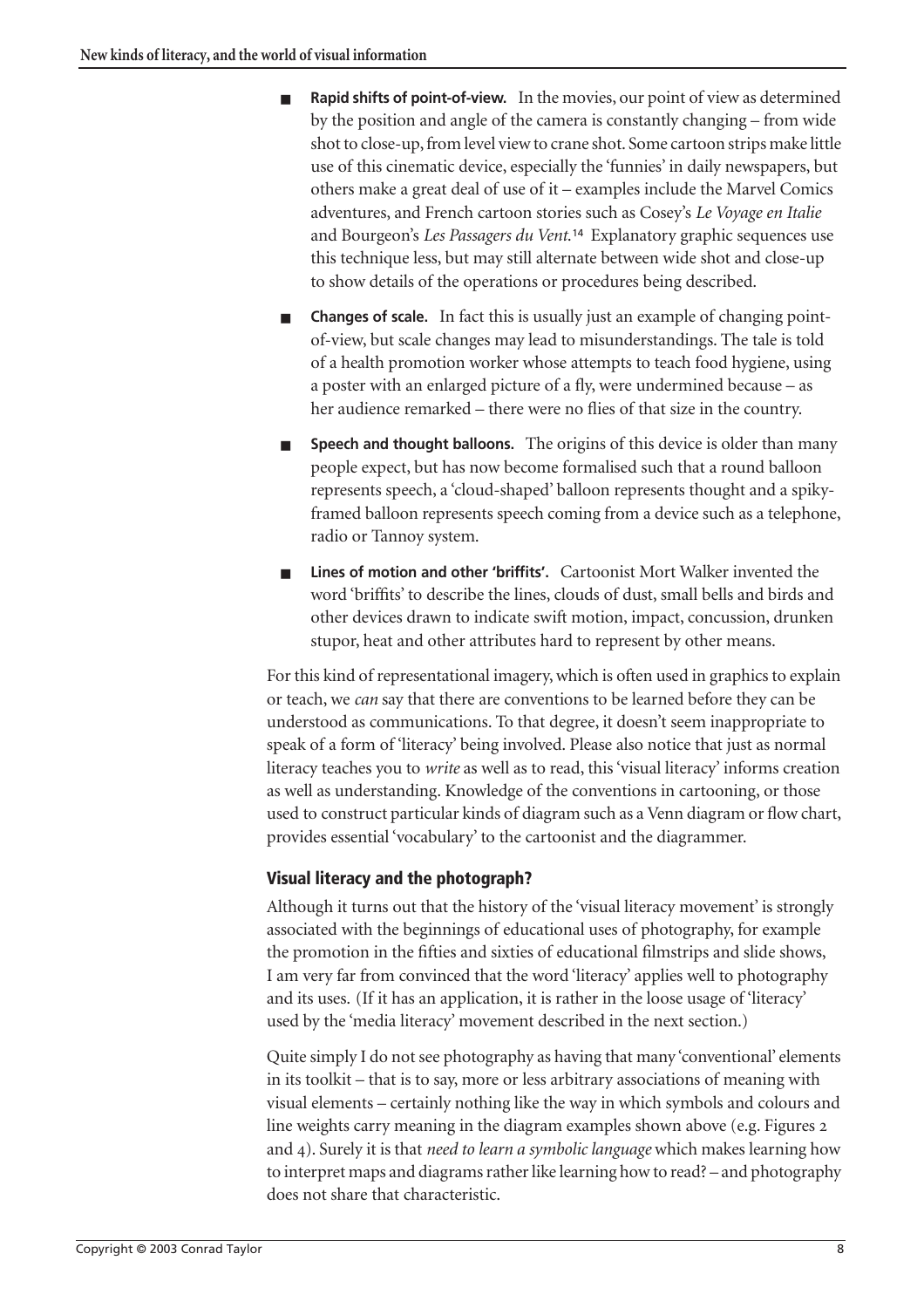- **Rapid shifts of point-of-view.** In the movies, our point of view as determined by the position and angle of the camera is constantly changing – from wide shot to close-up, from level view to crane shot. Some cartoon strips make little use of this cinematic device, especially the 'funnies' in daily newspapers, but others make a great deal of use of it – examples include the Marvel Comics adventures, and French cartoon stories such as Cosey's *Le Voyage en Italie* and Bourgeon's *Les Passagers du Vent*.[14](#page-20-1) Explanatory graphic sequences use this technique less, but may still alternate between wide shot and close-up to show details of the operations or procedures being described.
- **Changes of scale.** In fact this is usually just an example of changing pointof-view, but scale changes may lead to misunderstandings. The tale is told of a health promotion worker whose attempts to teach food hygiene, using a poster with an enlarged picture of a fly, were undermined because – as her audience remarked – there were no flies of that size in the country.
- **Speech and thought balloons.** The origins of this device is older than many people expect, but has now become formalised such that a round balloon represents speech, a 'cloud-shaped' balloon represents thought and a spikyframed balloon represents speech coming from a device such as a telephone, radio or Tannoy system.
- **Lines of motion and other 'briffits'.** Cartoonist Mort Walker invented the word 'briffits' to describe the lines, clouds of dust, small bells and birds and other devices drawn to indicate swift motion, impact, concussion, drunken stupor, heat and other attributes hard to represent by other means.

For this kind of representational imagery, which is often used in graphics to explain or teach, we *can* say that there are conventions to be learned before they can be understood as communications. To that degree, it doesn't seem inappropriate to speak of a form of 'literacy' being involved. Please also notice that just as normal literacy teaches you to *write* as well as to read, this 'visual literacy' informs creation as well as understanding. Knowledge of the conventions in cartooning, or those used to construct particular kinds of diagram such as a Venn diagram or flow chart, provides essential 'vocabulary' to the cartoonist and the diagrammer.

## **Visual literacy and the photograph?**

Although it turns out that the history of the 'visual literacy movement' is strongly associated with the beginnings of educational uses of photography, for example the promotion in the fifties and sixties of educational filmstrips and slide shows, I am very far from convinced that the word 'literacy' applies well to photography and its uses. (If it has an application, it is rather in the loose usage of 'literacy' used by the 'media literacy' movement described in the next section.)

Quite simply I do not see photography as having that many 'conventional' elements in its toolkit – that is to say, more or less arbitrary associations of meaning with visual elements – certainly nothing like the way in which symbols and colours and line weights carry meaning in the diagram examples shown above (e.g. Figures and 4). Surely it is that *need to learn a symbolic language* which makes learning how to interpret maps and diagrams rather like learning how to read? – and photography does not share that characteristic.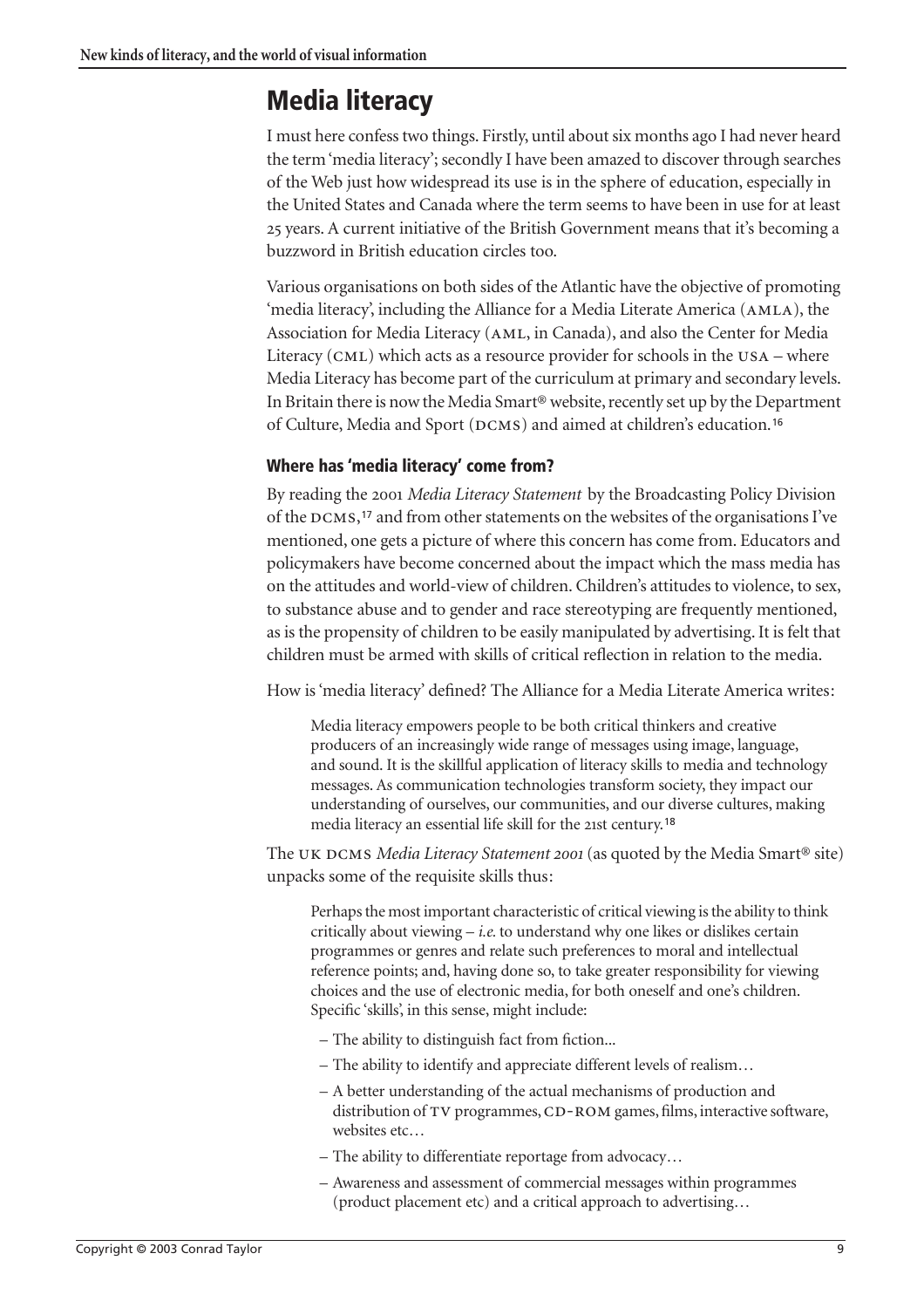## **Media literacy**

I must here confess two things. Firstly, until about six months ago I had never heard the term 'media literacy'; secondly I have been amazed to discover through searches of the Web just how widespread its use is in the sphere of education, especially in the United States and Canada where the term seems to have been in use for at least years. A current initiative of the British Government means that it's becoming a buzzword in British education circles too.

Various organisations on both sides of the Atlantic have the objective of promoting 'media literacy', including the Alliance for a Media Literate America  $(AMLA)$ , the Association for Media Literacy (AML, in Canada), and also the Center for Media Literacy (CML) which acts as a resource provider for schools in the  $USA$  – where Media Literacy has become part of the curriculum at primary and secondary levels. In Britain there is now the Media Smart® website, recently set up by the Department of Culture, Media and Sport (DCMS) and aimed at children's education.<sup>[16](#page-20-2)</sup>

## **Where has 'media literacy' come from?**

By reading the *Media Literacy Statement* by the Broadcasting Policy Division of the DCMS,<sup>[17](#page-20-3)</sup> and from other statements on the websites of the organisations I've mentioned, one gets a picture of where this concern has come from. Educators and policymakers have become concerned about the impact which the mass media has on the attitudes and world-view of children. Children's attitudes to violence, to sex, to substance abuse and to gender and race stereotyping are frequently mentioned, as is the propensity of children to be easily manipulated by advertising. It is felt that children must be armed with skills of critical reflection in relation to the media.

How is 'media literacy' defined? The Alliance for a Media Literate America writes:

Media literacy empowers people to be both critical thinkers and creative producers of an increasingly wide range of messages using image, language, and sound. It is the skillful application of literacy skills to media and technology messages. As communication technologies transform society, they impact our understanding of ourselves, our communities, and our diverse cultures, making media literacy an essential life skill for the 21st century.<sup>[18](#page-20-4)</sup>

The UK DCMS *Media Literacy Statement 2001* (as quoted by the Media Smart<sup>®</sup> site) unpacks some of the requisite skills thus:

Perhaps the most important characteristic of critical viewing is the ability to think critically about viewing – *i.e.* to understand why one likes or dislikes certain programmes or genres and relate such preferences to moral and intellectual reference points; and, having done so, to take greater responsibility for viewing choices and the use of electronic media, for both oneself and one's children. Specific 'skills', in this sense, might include:

- The ability to distinguish fact from fiction...
- The ability to identify and appreciate different levels of realism…
- A better understanding of the actual mechanisms of production and distribution of TV programmes, CD-ROM games, films, interactive software, websites etc…
- The ability to differentiate reportage from advocacy…
- Awareness and assessment of commercial messages within programmes (product placement etc) and a critical approach to advertising…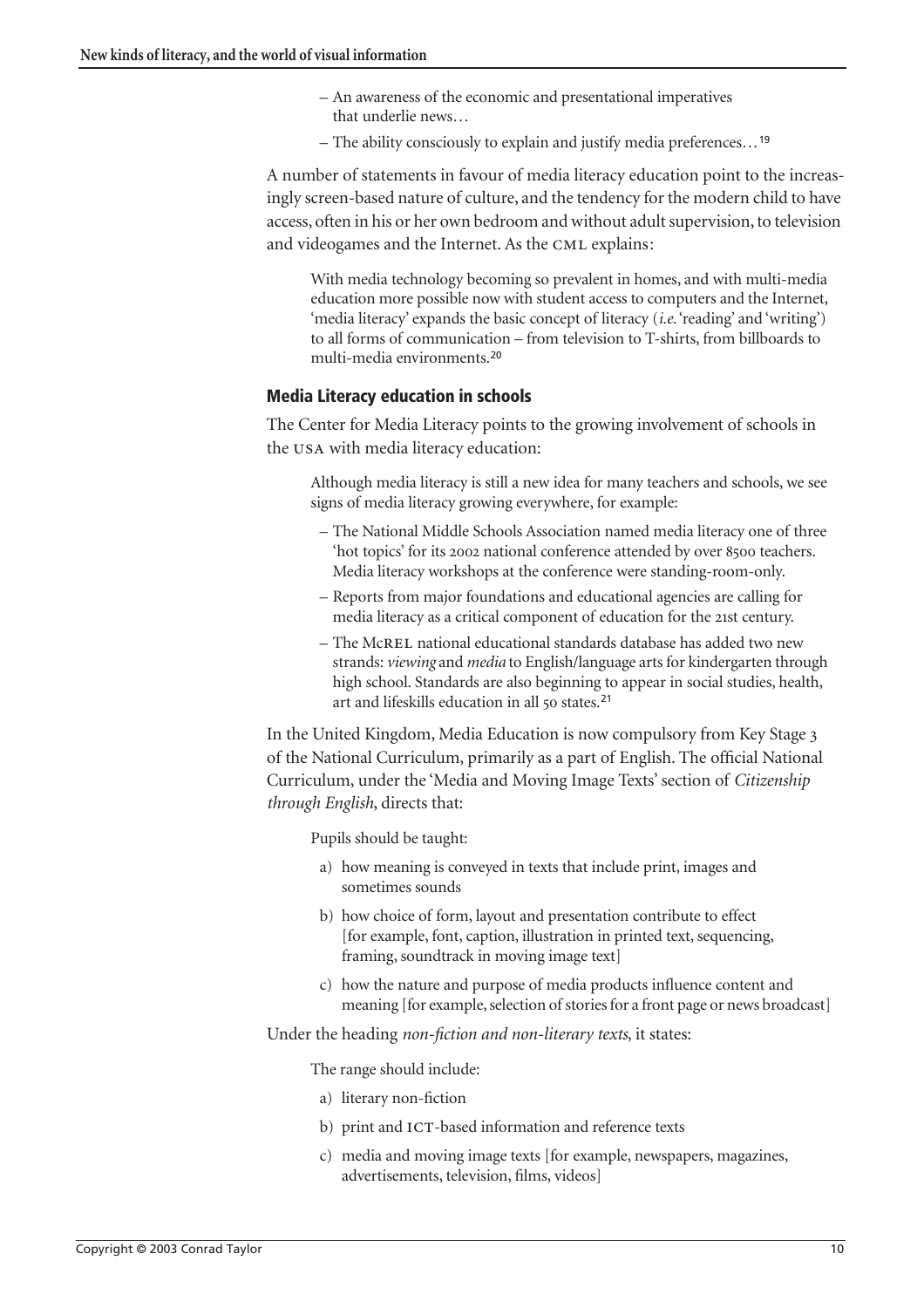- An awareness of the economic and presentational imperatives that underlie news…
- The ability consciously to explain and justify media preferences…[19](#page-20-5)

A number of statements in favour of media literacy education point to the increasingly screen-based nature of culture, and the tendency for the modern child to have access, often in his or her own bedroom and without adult supervision, to television and videogames and the Internet. As the CML explains:

With media technology becoming so prevalent in homes, and with multi-media education more possible now with student access to computers and the Internet, 'media literacy' expands the basic concept of literacy (*i.e.* 'reading' and 'writing') to all forms of communication – from television to T-shirts, from billboards to multi-media environments.[20](#page-20-6)

#### **Media Literacy education in schools**

The Center for Media Literacy points to the growing involvement of schools in the USA with media literacy education:

Although media literacy is still a new idea for many teachers and schools, we see signs of media literacy growing everywhere, for example:

- The National Middle Schools Association named media literacy one of three 'hot topics' for its 2002 national conference attended by over 8500 teachers. Media literacy workshops at the conference were standing-room-only.
- Reports from major foundations and educational agencies are calling for media literacy as a critical component of education for the 21st century.
- The McREL national educational standards database has added two new strands: *viewing* and *media* to English/language arts for kindergarten through high school. Standards are also beginning to appear in social studies, health, art and lifeskills education in all 50 states.<sup>[21](#page-20-7)</sup>

In the United Kingdom, Media Education is now compulsory from Key Stage of the National Curriculum, primarily as a part of English. The official National Curriculum, under the 'Media and Moving Image Texts' section of *Citizenship through English*, directs that:

Pupils should be taught:

- a) how meaning is conveyed in texts that include print, images and sometimes sounds
- b) how choice of form, layout and presentation contribute to effect [for example, font, caption, illustration in printed text, sequencing, framing, soundtrack in moving image text]
- c) how the nature and purpose of media products influence content and meaning [for example, selection of stories for a front page or news broadcast]

Under the heading *non-fiction and non-literary texts*, it states:

The range should include:

- a) literary non-fiction
- b) print and ICT-based information and reference texts
- c) media and moving image texts [for example, newspapers, magazines, advertisements, television, films, videos]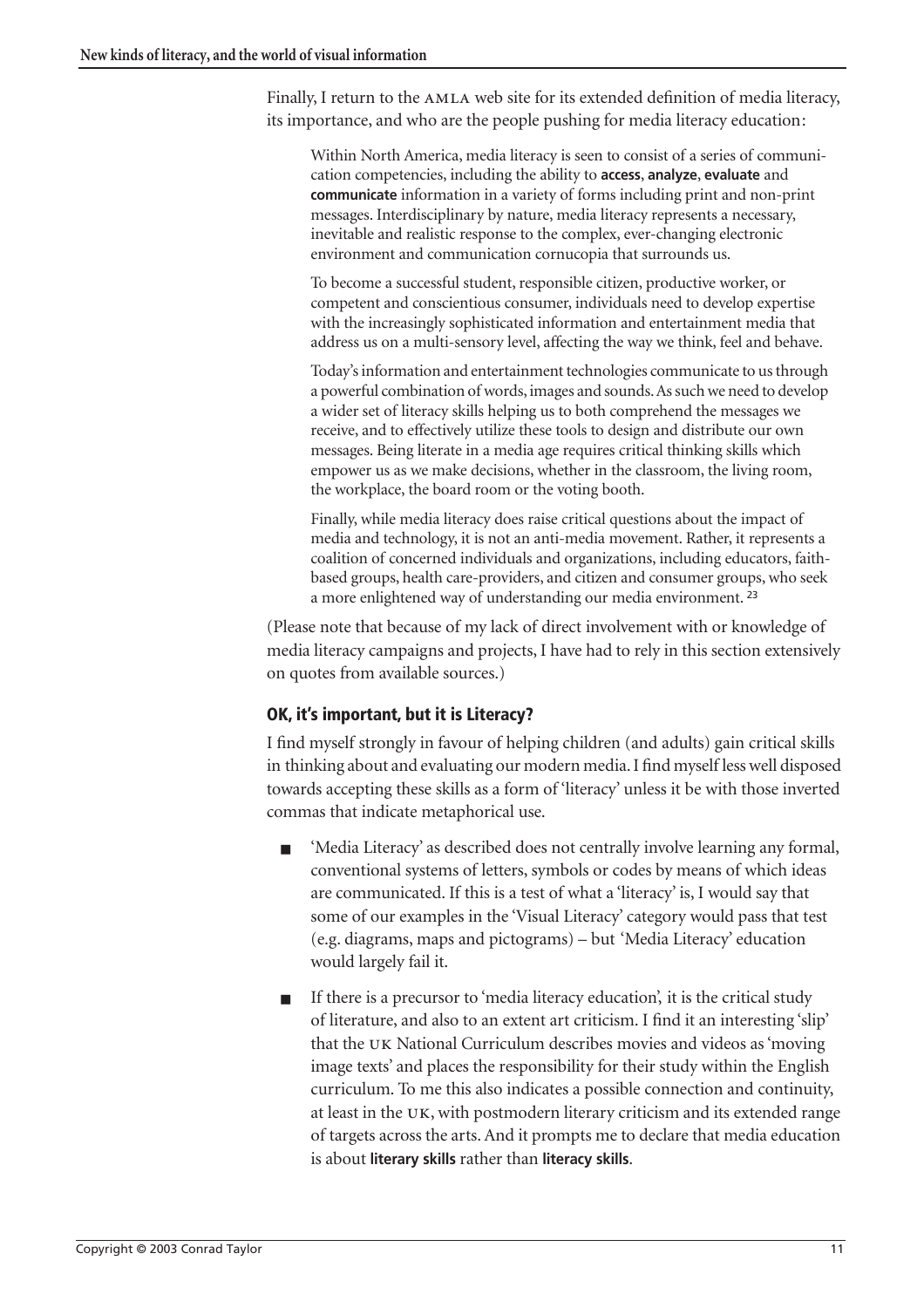Finally, I return to the AMLA web site for its extended definition of media literacy, its importance, and who are the people pushing for media literacy education:

Within North America, media literacy is seen to consist of a series of communication competencies, including the ability to **access**, **analyze**, **evaluate** and **communicate** information in a variety of forms including print and non-print messages. Interdisciplinary by nature, media literacy represents a necessary, inevitable and realistic response to the complex, ever-changing electronic environment and communication cornucopia that surrounds us.

To become a successful student, responsible citizen, productive worker, or competent and conscientious consumer, individuals need to develop expertise with the increasingly sophisticated information and entertainment media that address us on a multi-sensory level, affecting the way we think, feel and behave.

Today's information and entertainment technologies communicate to us through a powerful combination of words, images and sounds. As such we need to develop a wider set of literacy skills helping us to both comprehend the messages we receive, and to effectively utilize these tools to design and distribute our own messages. Being literate in a media age requires critical thinking skills which empower us as we make decisions, whether in the classroom, the living room, the workplace, the board room or the voting booth.

Finally, while media literacy does raise critical questions about the impact of media and technology, it is not an anti-media movement. Rather, it represents a coalition of concerned individuals and organizations, including educators, faithbased groups, health care-providers, and citizen and consumer groups, who seek a more enlightened way of understanding our media environment. [23](#page-20-8)

(Please note that because of my lack of direct involvement with or knowledge of media literacy campaigns and projects, I have had to rely in this section extensively on quotes from available sources.)

## **OK, it's important, but it is Literacy?**

I find myself strongly in favour of helping children (and adults) gain critical skills in thinking about and evaluating our modern media. I find myself less well disposed towards accepting these skills as a form of 'literacy' unless it be with those inverted commas that indicate metaphorical use.

- 'Media Literacy' as described does not centrally involve learning any formal, conventional systems of letters, symbols or codes by means of which ideas are communicated. If this is a test of what a 'literacy' is, I would say that some of our examples in the 'Visual Literacy' category would pass that test (e.g. diagrams, maps and pictograms) – but 'Media Literacy' education would largely fail it.
- If there is a precursor to 'media literacy education', it is the critical study of literature, and also to an extent art criticism. I find it an interesting 'slip' that the UK National Curriculum describes movies and videos as 'moving image texts' and places the responsibility for their study within the English curriculum. To me this also indicates a possible connection and continuity, at least in the UK, with postmodern literary criticism and its extended range of targets across the arts. And it prompts me to declare that media education is about **literary skills** rather than **literacy skills**.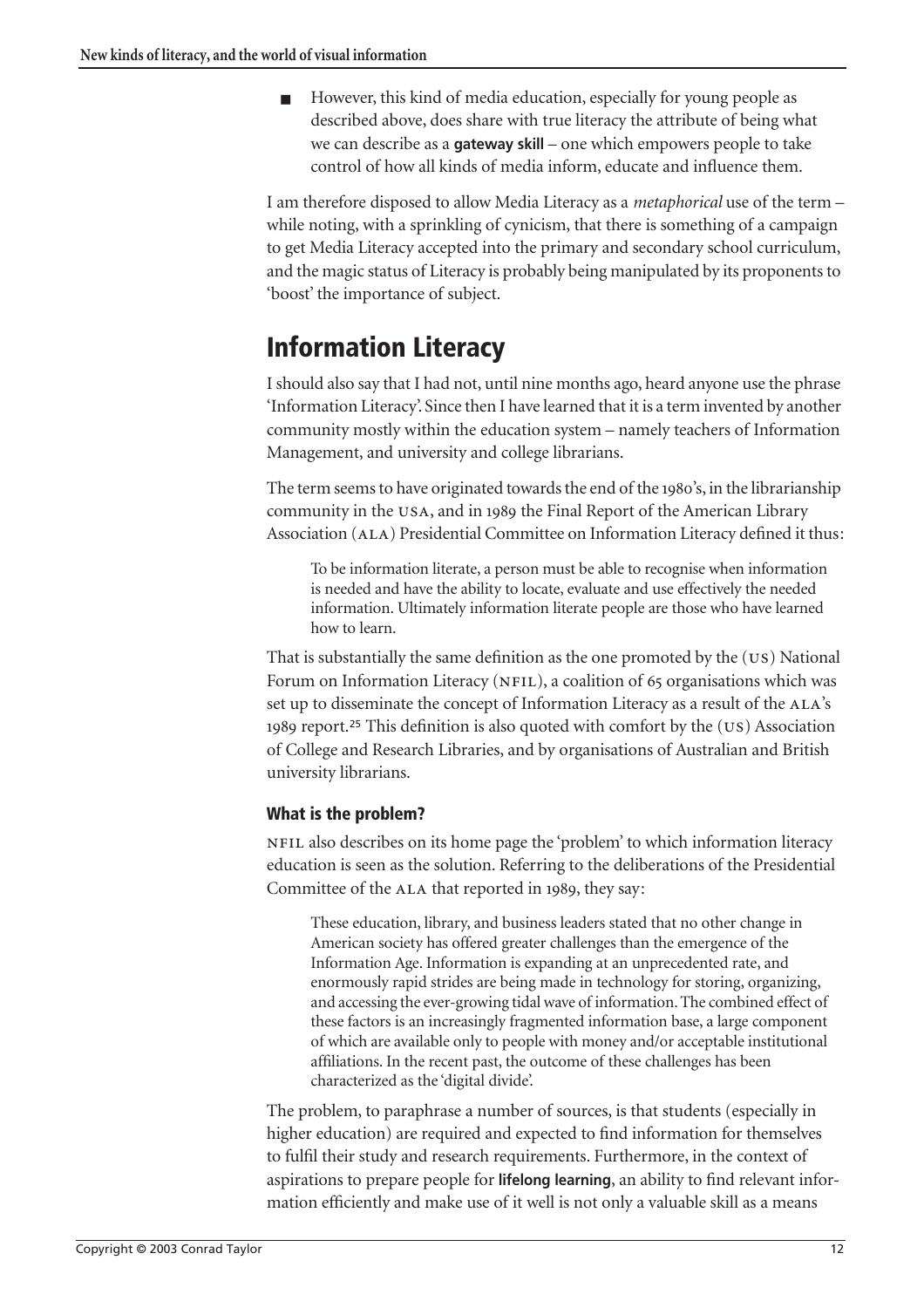■ However, this kind of media education, especially for young people as described above, does share with true literacy the attribute of being what we can describe as a **gateway skill** – one which empowers people to take control of how all kinds of media inform, educate and influence them.

I am therefore disposed to allow Media Literacy as a *metaphorical* use of the term – while noting, with a sprinkling of cynicism, that there is something of a campaign to get Media Literacy accepted into the primary and secondary school curriculum, and the magic status of Literacy is probably being manipulated by its proponents to 'boost' the importance of subject.

## **Information Literacy**

I should also say that I had not, until nine months ago, heard anyone use the phrase 'Information Literacy'. Since then I have learned that it is a term invented by another community mostly within the education system – namely teachers of Information Management, and university and college librarians.

The term seems to have originated towards the end of the 1980's, in the librarianship community in the USA, and in 1989 the Final Report of the American Library Association (ALA) Presidential Committee on Information Literacy defined it thus:

To be information literate, a person must be able to recognise when information is needed and have the ability to locate, evaluate and use effectively the needed information. Ultimately information literate people are those who have learned how to learn.

That is substantially the same definition as the one promoted by the  $(US)$  National Forum on Information Literacy (NFIL), a coalition of 65 organisations which was set up to disseminate the concept of Information Literacy as a result of the ALA's 1989 report.<sup>[25](#page-20-9)</sup> This definition is also quoted with comfort by the  $(US)$  Association of College and Research Libraries, and by organisations of Australian and British university librarians.

## **What is the problem?**

NFIL also describes on its home page the 'problem' to which information literacy education is seen as the solution. Referring to the deliberations of the Presidential Committee of the ALA that reported in 1989, they say:

These education, library, and business leaders stated that no other change in American society has offered greater challenges than the emergence of the Information Age. Information is expanding at an unprecedented rate, and enormously rapid strides are being made in technology for storing, organizing, and accessing the ever-growing tidal wave of information. The combined effect of these factors is an increasingly fragmented information base, a large component of which are available only to people with money and/or acceptable institutional affiliations. In the recent past, the outcome of these challenges has been characterized as the 'digital divide'.

The problem, to paraphrase a number of sources, is that students (especially in higher education) are required and expected to find information for themselves to fulfil their study and research requirements. Furthermore, in the context of aspirations to prepare people for **lifelong learning**, an ability to find relevant information efficiently and make use of it well is not only a valuable skill as a means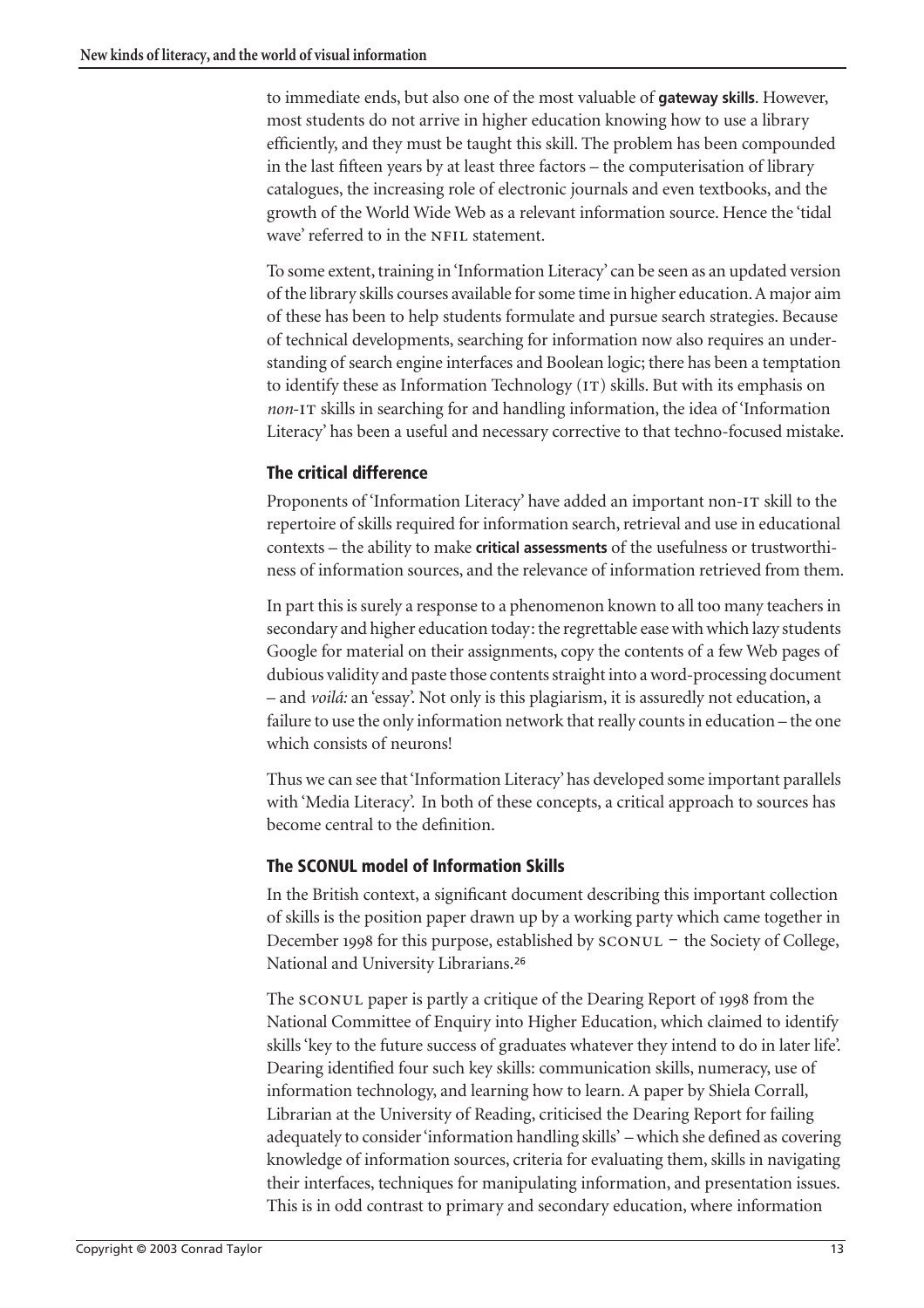to immediate ends, but also one of the most valuable of **gateway skills**. However, most students do not arrive in higher education knowing how to use a library efficiently, and they must be taught this skill. The problem has been compounded in the last fifteen years by at least three factors – the computerisation of library catalogues, the increasing role of electronic journals and even textbooks, and the growth of the World Wide Web as a relevant information source. Hence the 'tidal wave' referred to in the NFIL statement.

To some extent, training in 'Information Literacy' can be seen as an updated version of the library skills courses available for some time in higher education. A major aim of these has been to help students formulate and pursue search strategies. Because of technical developments, searching for information now also requires an understanding of search engine interfaces and Boolean logic; there has been a temptation to identify these as Information Technology  $(T)$  skills. But with its emphasis on *non*-IT skills in searching for and handling information, the idea of 'Information Literacy' has been a useful and necessary corrective to that techno-focused mistake.

### **The critical difference**

Proponents of 'Information Literacy' have added an important non-IT skill to the repertoire of skills required for information search, retrieval and use in educational contexts – the ability to make **critical assessments** of the usefulness or trustworthiness of information sources, and the relevance of information retrieved from them.

In part this is surely a response to a phenomenon known to all too many teachers in secondary and higher education today: the regrettable ease with which lazy students Google for material on their assignments, copy the contents of a few Web pages of dubious validity and paste those contents straight into a word-processing document – and *voilá:* an 'essay'. Not only is this plagiarism, it is assuredly not education, a failure to use the only information network that really counts in education – the one which consists of neurons!

Thus we can see that 'Information Literacy' has developed some important parallels with 'Media Literacy'. In both of these concepts, a critical approach to sources has become central to the definition.

### **The SCONUL model of Information Skills**

In the British context, a significant document describing this important collection of skills is the position paper drawn up by a working party which came together in December 1998 for this purpose, established by SCONUL - the Society of College, National and University Librarians.[26](#page-20-10)

The SCONUL paper is partly a critique of the Dearing Report of 1998 from the National Committee of Enquiry into Higher Education, which claimed to identify skills 'key to the future success of graduates whatever they intend to do in later life'. Dearing identified four such key skills: communication skills, numeracy, use of information technology, and learning how to learn. A paper by Shiela Corrall, Librarian at the University of Reading, criticised the Dearing Report for failing adequately to consider 'information handling skills' – which she defined as covering knowledge of information sources, criteria for evaluating them, skills in navigating their interfaces, techniques for manipulating information, and presentation issues. This is in odd contrast to primary and secondary education, where information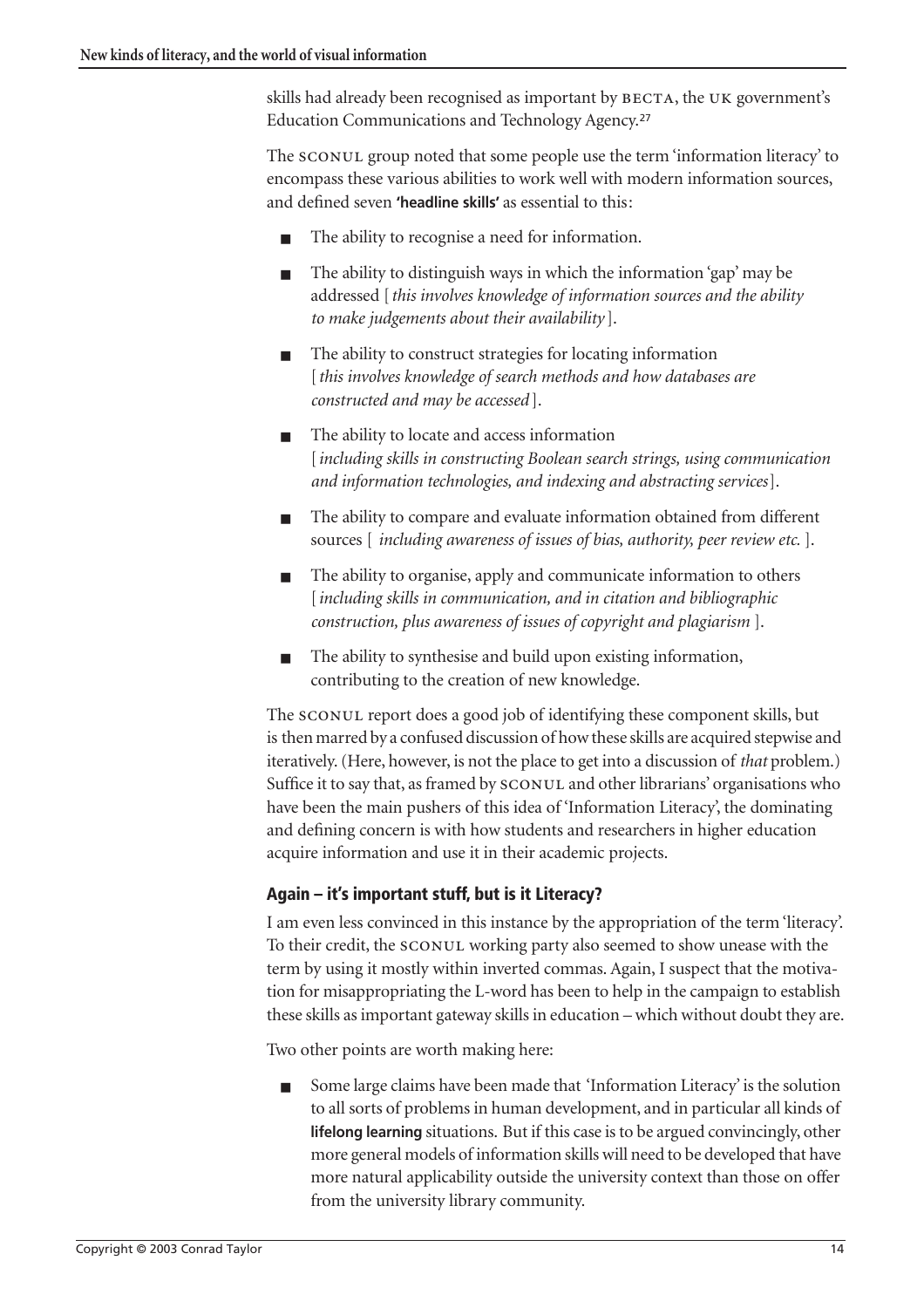skills had already been recognised as important by BECTA, the UK government's Education Communications and Technology Agency.[27](#page-20-11)

The SCONUL group noted that some people use the term 'information literacy' to encompass these various abilities to work well with modern information sources, and defined seven **'headline skills'** as essential to this:

- The ability to recognise a need for information.
- The ability to distinguish ways in which the information 'gap' may be addressed [*this involves knowledge of information sources and the ability to make judgements about their availability* ].
- The ability to construct strategies for locating information [*this involves knowledge of search methods and how databases are constructed and may be accessed* ].
- The ability to locate and access information [*including skills in constructing Boolean search strings, using communication and information technologies, and indexing and abstracting services*].
- The ability to compare and evaluate information obtained from different sources [ *including awareness of issues of bias, authority, peer review etc.* ].
- The ability to organise, apply and communicate information to others [*including skills in communication, and in citation and bibliographic construction, plus awareness of issues of copyright and plagiarism* ].
- The ability to synthesise and build upon existing information, contributing to the creation of new knowledge.

The SCONUL report does a good job of identifying these component skills, but is then marred by a confused discussion of how these skills are acquired stepwise and iteratively. (Here, however, is not the place to get into a discussion of *that* problem.) Suffice it to say that, as framed by  $s_{\text{CONUL}}$  and other librarians' organisations who have been the main pushers of this idea of 'Information Literacy', the dominating and defining concern is with how students and researchers in higher education acquire information and use it in their academic projects.

## **Again – it's important stuff, but is it Literacy?**

I am even less convinced in this instance by the appropriation of the term 'literacy'. To their credit, the SCONUL working party also seemed to show unease with the term by using it mostly within inverted commas. Again, I suspect that the motivation for misappropriating the L-word has been to help in the campaign to establish these skills as important gateway skills in education – which without doubt they are.

Two other points are worth making here:

Some large claims have been made that 'Information Literacy' is the solution to all sorts of problems in human development, and in particular all kinds of **lifelong learning** situations. But if this case is to be argued convincingly, other more general models of information skills will need to be developed that have more natural applicability outside the university context than those on offer from the university library community.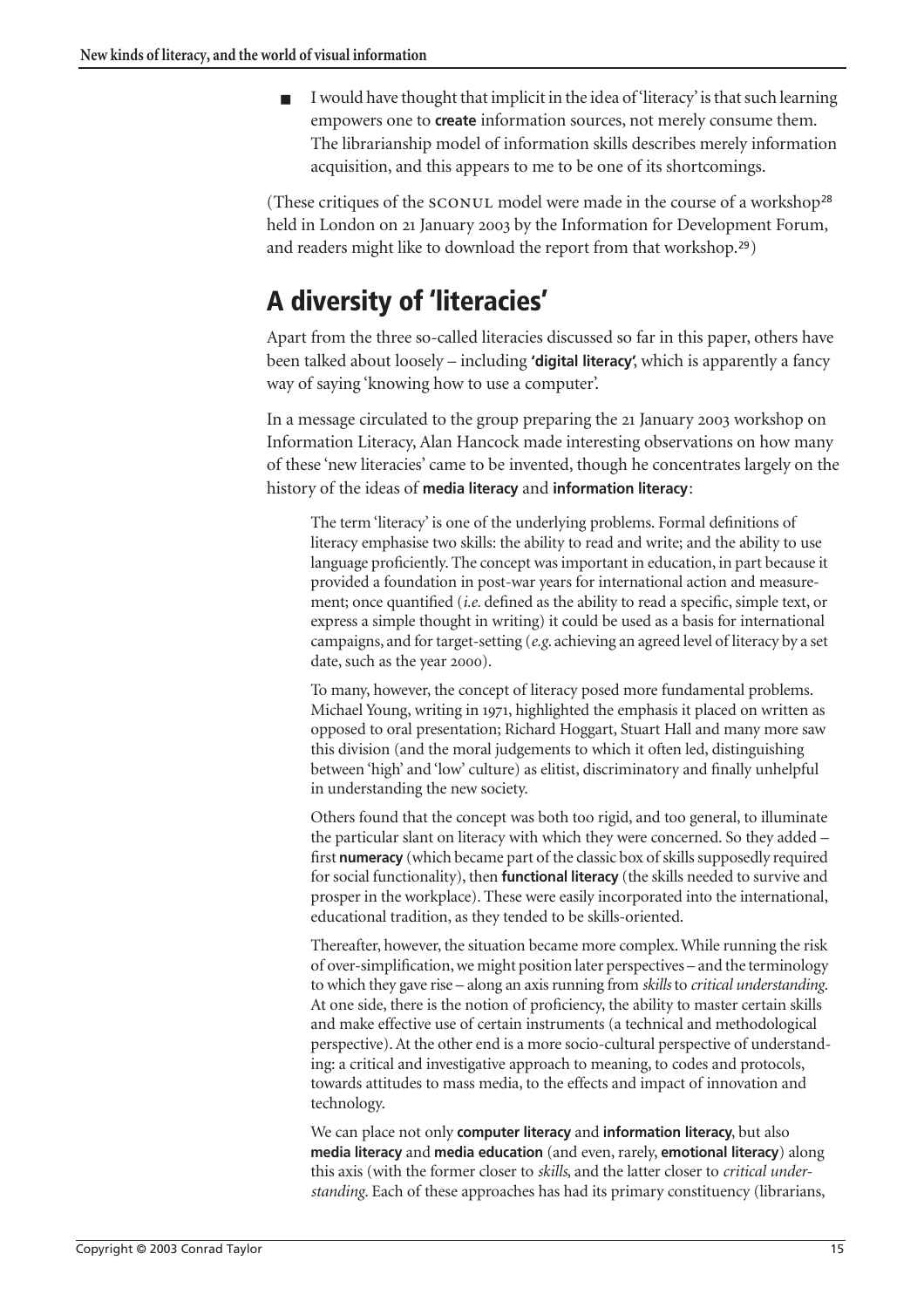I would have thought that implicit in the idea of 'literacy' is that such learning empowers one to **create** information sources, not merely consume them. The librarianship model of information skills describes merely information acquisition, and this appears to me to be one of its shortcomings.

(These critiques of the SCONUL model were made in the course of a workshop<sup>[28](#page-20-12)</sup> held in London on 21 January 2003 by the Information for Development Forum, and readers might like to download the report from that workshop.[29](#page-20-13))

# **A diversity of 'literacies'**

Apart from the three so-called literacies discussed so far in this paper, others have been talked about loosely – including **'digital literacy'**, which is apparently a fancy way of saying 'knowing how to use a computer'.

In a message circulated to the group preparing the 21 January 2003 workshop on Information Literacy, Alan Hancock made interesting observations on how many of these 'new literacies' came to be invented, though he concentrates largely on the history of the ideas of **media literacy** and **information literacy**:

The term 'literacy' is one of the underlying problems. Formal definitions of literacy emphasise two skills: the ability to read and write; and the ability to use language proficiently. The concept was important in education, in part because it provided a foundation in post-war years for international action and measurement; once quantified (*i.e.* defined as the ability to read a specific, simple text, or express a simple thought in writing) it could be used as a basis for international campaigns, and for target-setting (*e.g*. achieving an agreed level of literacy by a set date, such as the year 2000).

To many, however, the concept of literacy posed more fundamental problems. Michael Young, writing in 1971, highlighted the emphasis it placed on written as opposed to oral presentation; Richard Hoggart, Stuart Hall and many more saw this division (and the moral judgements to which it often led, distinguishing between 'high' and 'low' culture) as elitist, discriminatory and finally unhelpful in understanding the new society.

Others found that the concept was both too rigid, and too general, to illuminate the particular slant on literacy with which they were concerned. So they added – first **numeracy** (which became part of the classic box of skills supposedly required for social functionality), then **functional literacy** (the skills needed to survive and prosper in the workplace). These were easily incorporated into the international, educational tradition, as they tended to be skills-oriented.

Thereafter, however, the situation became more complex. While running the risk of over-simplification, we might position later perspectives – and the terminology to which they gave rise – along an axis running from *skills* to *critical understanding*. At one side, there is the notion of proficiency, the ability to master certain skills and make effective use of certain instruments (a technical and methodological perspective). At the other end is a more socio-cultural perspective of understanding: a critical and investigative approach to meaning, to codes and protocols, towards attitudes to mass media, to the effects and impact of innovation and technology.

We can place not only **computer literacy** and **information literacy**, but also **media literacy** and **media education** (and even, rarely, **emotional literacy**) along this axis (with the former closer to *skills*, and the latter closer to *critical understanding*. Each of these approaches has had its primary constituency (librarians,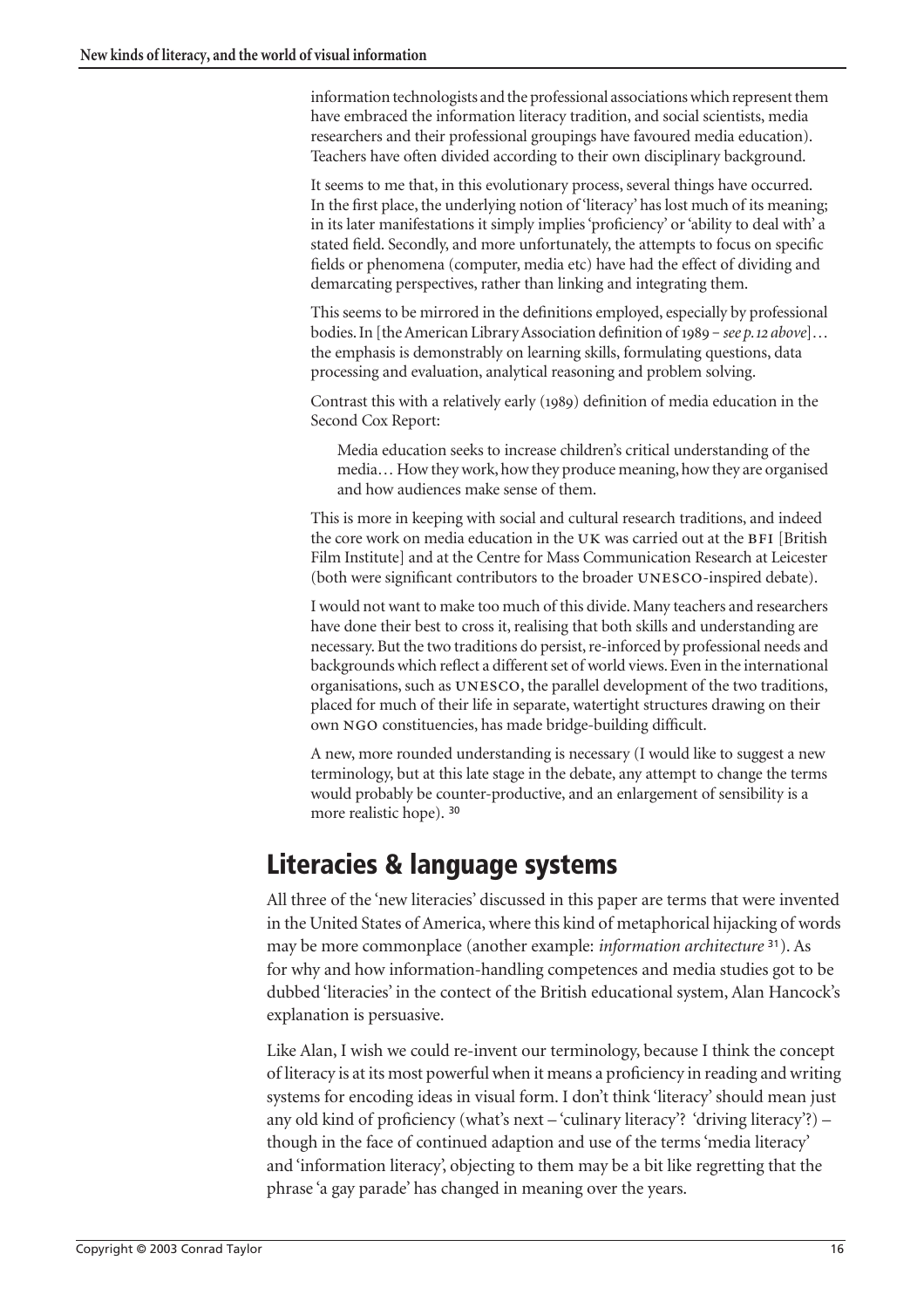information technologists and the professional associations which represent them have embraced the information literacy tradition, and social scientists, media researchers and their professional groupings have favoured media education). Teachers have often divided according to their own disciplinary background.

It seems to me that, in this evolutionary process, several things have occurred. In the first place, the underlying notion of 'literacy' has lost much of its meaning; in its later manifestations it simply implies 'proficiency' or 'ability to deal with' a stated field. Secondly, and more unfortunately, the attempts to focus on specific fields or phenomena (computer, media etc) have had the effect of dividing and demarcating perspectives, rather than linking and integrating them.

This seems to be mirrored in the definitions employed, especially by professional bodies. In [the American Library Association definition of 1989 - see p. 12 above]... the emphasis is demonstrably on learning skills, formulating questions, data processing and evaluation, analytical reasoning and problem solving.

Contrast this with a relatively early (1989) definition of media education in the Second Cox Report:

Media education seeks to increase children's critical understanding of the media… How they work, how they produce meaning, how they are organised and how audiences make sense of them.

This is more in keeping with social and cultural research traditions, and indeed the core work on media education in the UK was carried out at the BFI [British] Film Institute] and at the Centre for Mass Communication Research at Leicester (both were significant contributors to the broader UNESCO-inspired debate).

I would not want to make too much of this divide. Many teachers and researchers have done their best to cross it, realising that both skills and understanding are necessary. But the two traditions do persist, re-inforced by professional needs and backgrounds which reflect a different set of world views. Even in the international organisations, such as UNESCO, the parallel development of the two traditions, placed for much of their life in separate, watertight structures drawing on their own NGO constituencies, has made bridge-building difficult.

A new, more rounded understanding is necessary (I would like to suggest a new terminology, but at this late stage in the debate, any attempt to change the terms would probably be counter-productive, and an enlargement of sensibility is a more realistic hope). [30](#page-20-14)

## **Literacies & language systems**

All three of the 'new literacies' discussed in this paper are terms that were invented in the United States of America, where this kind of metaphorical hijacking of words may be more commonplace (another example: *information architecture* [31](#page-21-0)). As for why and how information-handling competences and media studies got to be dubbed 'literacies' in the contect of the British educational system, Alan Hancock's explanation is persuasive.

Like Alan, I wish we could re-invent our terminology, because I think the concept of literacy is at its most powerful when it means a proficiency in reading and writing systems for encoding ideas in visual form. I don't think 'literacy' should mean just any old kind of proficiency (what's next – 'culinary literacy'? 'driving literacy'?) – though in the face of continued adaption and use of the terms 'media literacy' and 'information literacy', objecting to them may be a bit like regretting that the phrase 'a gay parade' has changed in meaning over the years.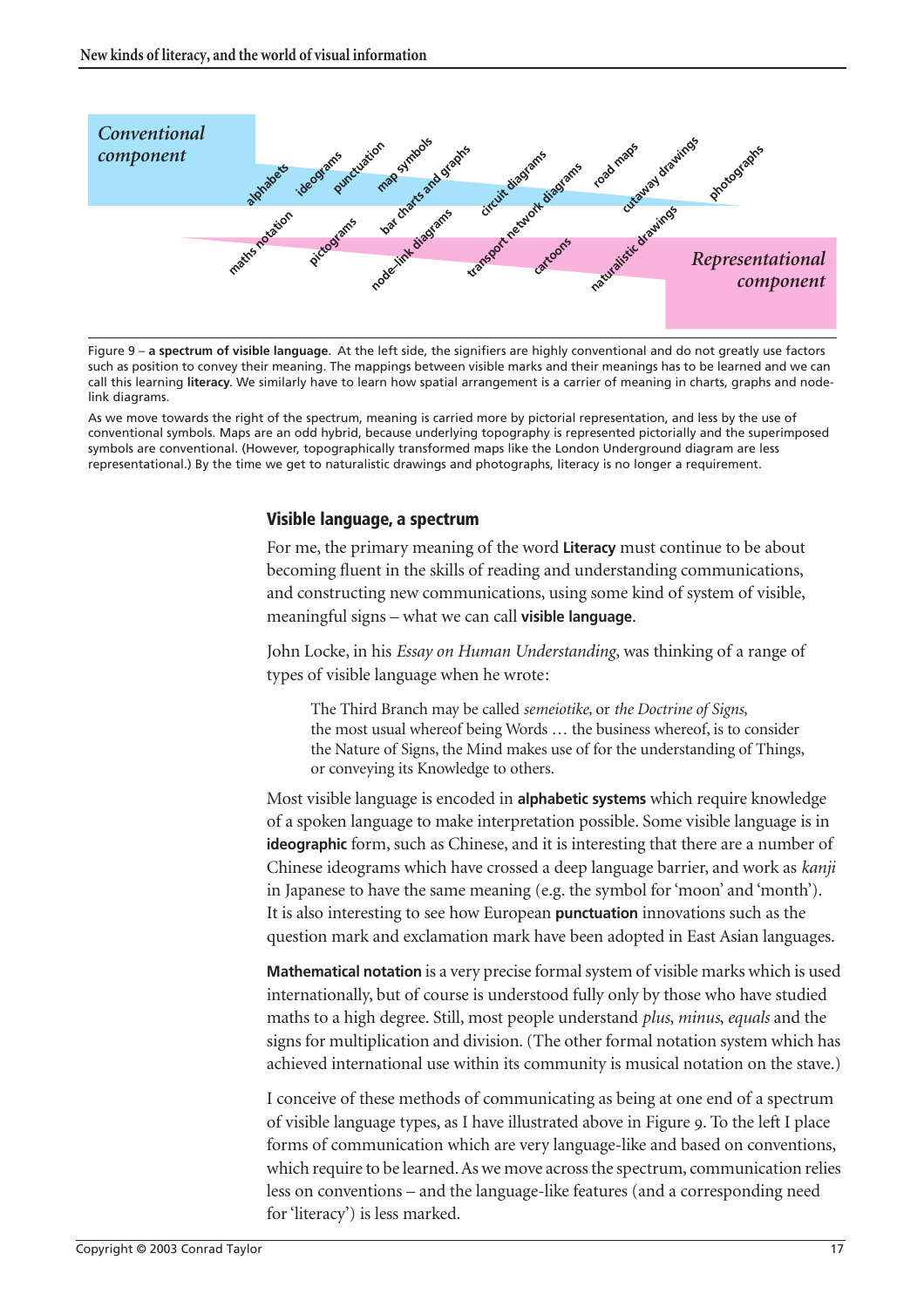

Figure 9 – **a spectrum of visible language**. At the left side, the signifiers are highly conventional and do not greatly use factors such as position to convey their meaning. The mappings between visible marks and their meanings has to be learned and we can call this learning **literacy**. We similarly have to learn how spatial arrangement is a carrier of meaning in charts, graphs and nodelink diagrams.

As we move towards the right of the spectrum, meaning is carried more by pictorial representation, and less by the use of conventional symbols. Maps are an odd hybrid, because underlying topography is represented pictorially and the superimposed symbols are conventional. (However, topographically transformed maps like the London Underground diagram are less representational.) By the time we get to naturalistic drawings and photographs, literacy is no longer a requirement.

#### **Visible language, a spectrum**

For me, the primary meaning of the word **Literacy** must continue to be about becoming fluent in the skills of reading and understanding communications, and constructing new communications, using some kind of system of visible, meaningful signs – what we can call **visible language**.

John Locke, in his *Essay on Human Understanding*, was thinking of a range of types of visible language when he wrote:

The Third Branch may be called *semeiotike,* or *the Doctrine of Signs*, the most usual whereof being Words … the business whereof, is to consider the Nature of Signs, the Mind makes use of for the understanding of Things, or conveying its Knowledge to others.

Most visible language is encoded in **alphabetic systems** which require knowledge of a spoken language to make interpretation possible. Some visible language is in **ideographic** form, such as Chinese, and it is interesting that there are a number of Chinese ideograms which have crossed a deep language barrier, and work as *kanji* in Japanese to have the same meaning (e.g. the symbol for 'moon' and 'month'). It is also interesting to see how European **punctuation** innovations such as the question mark and exclamation mark have been adopted in East Asian languages.

**Mathematical notation** is a very precise formal system of visible marks which is used internationally, but of course is understood fully only by those who have studied maths to a high degree. Still, most people understand *plus*, *minus*, *equals* and the signs for multiplication and division. (The other formal notation system which has achieved international use within its community is musical notation on the stave.)

I conceive of these methods of communicating as being at one end of a spectrum of visible language types, as I have illustrated above in Figure . To the left I place forms of communication which are very language-like and based on conventions, which require to be learned. As we move across the spectrum, communication relies less on conventions – and the language-like features (and a corresponding need for 'literacy') is less marked.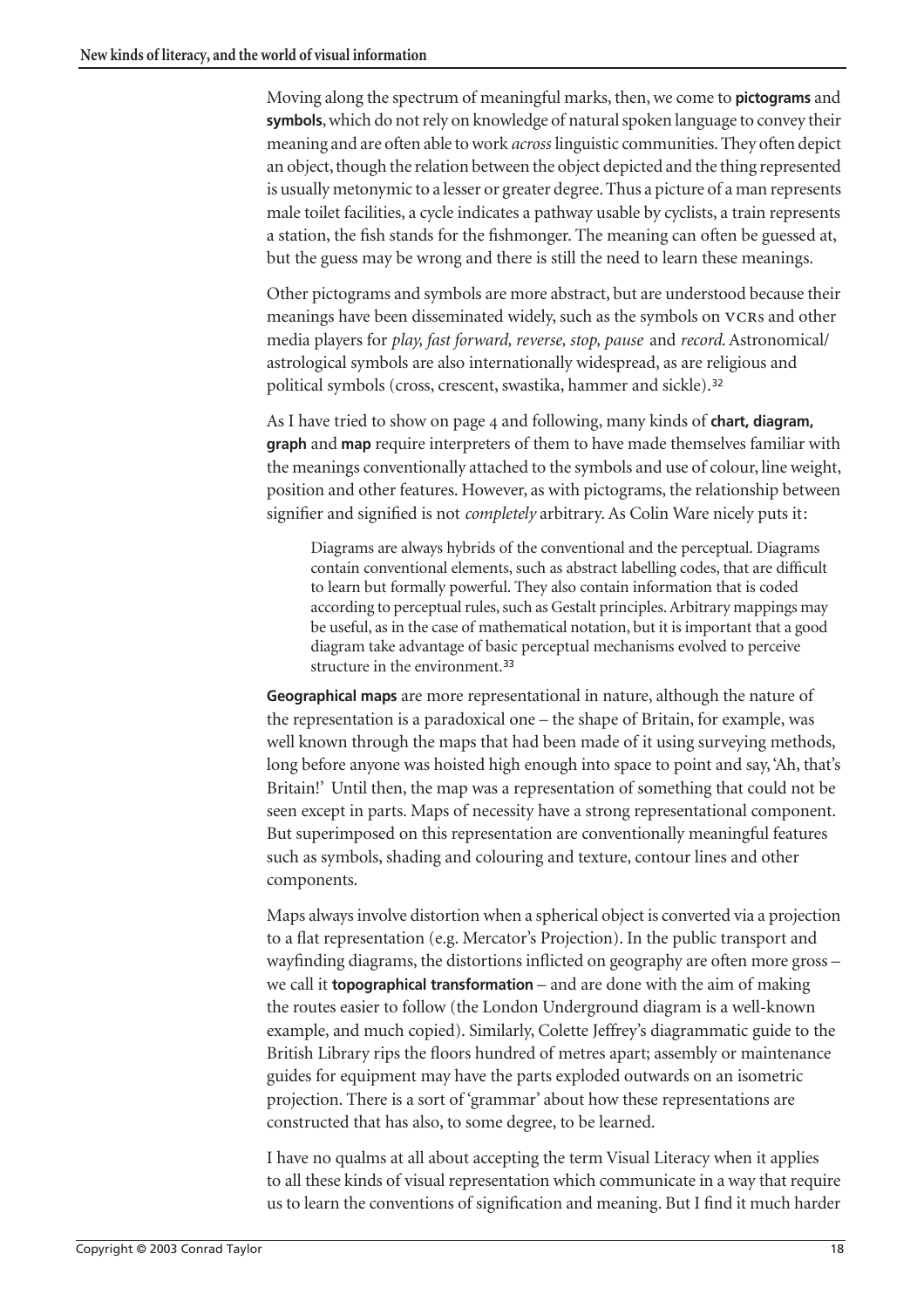Moving along the spectrum of meaningful marks, then, we come to **pictograms** and **symbols**, which do not rely on knowledge of natural spoken language to convey their meaning and are often able to work *across* linguistic communities. They often depict an object, though the relation between the object depicted and the thing represented is usually metonymic to a lesser or greater degree. Thus a picture of a man represents male toilet facilities, a cycle indicates a pathway usable by cyclists, a train represents a station, the fish stands for the fishmonger. The meaning can often be guessed at, but the guess may be wrong and there is still the need to learn these meanings.

Other pictograms and symbols are more abstract, but are understood because their meanings have been disseminated widely, such as the symbols on VCRs and other media players for *play, fast forward, reverse, stop, pause* and *record*. Astronomical/ astrological symbols are also internationally widespread, as are religious and political symbols (cross, crescent, swastika, hammer and sickle).<sup>[32](#page-21-1)</sup>

As I have tried to show on [page](#page-3-0)  and following, many kinds of **chart, diagram, graph** and **map** require interpreters of them to have made themselves familiar with the meanings conventionally attached to the symbols and use of colour, line weight, position and other features. However, as with pictograms, the relationship between signifier and signified is not *completely* arbitrary. As Colin Ware nicely puts it:

Diagrams are always hybrids of the conventional and the perceptual. Diagrams contain conventional elements, such as abstract labelling codes, that are difficult to learn but formally powerful. They also contain information that is coded according to perceptual rules, such as Gestalt principles. Arbitrary mappings may be useful, as in the case of mathematical notation, but it is important that a good diagram take advantage of basic perceptual mechanisms evolved to perceive structure in the environment.<sup>33</sup>

**Geographical maps** are more representational in nature, although the nature of the representation is a paradoxical one – the shape of Britain, for example, was well known through the maps that had been made of it using surveying methods, long before anyone was hoisted high enough into space to point and say, 'Ah, that's Britain!' Until then, the map was a representation of something that could not be seen except in parts. Maps of necessity have a strong representational component. But superimposed on this representation are conventionally meaningful features such as symbols, shading and colouring and texture, contour lines and other components.

Maps always involve distortion when a spherical object is converted via a projection to a flat representation (e.g. Mercator's Projection). In the public transport and wayfinding diagrams, the distortions inflicted on geography are often more gross – we call it **topographical transformation** – and are done with the aim of making the routes easier to follow (the London Underground diagram is a well-known example, and much copied). Similarly, Colette Jeffrey's diagrammatic guide to the British Library rips the floors hundred of metres apart; assembly or maintenance guides for equipment may have the parts exploded outwards on an isometric projection. There is a sort of 'grammar' about how these representations are constructed that has also, to some degree, to be learned.

I have no qualms at all about accepting the term Visual Literacy when it applies to all these kinds of visual representation which communicate in a way that require us to learn the conventions of signification and meaning. But I find it much harder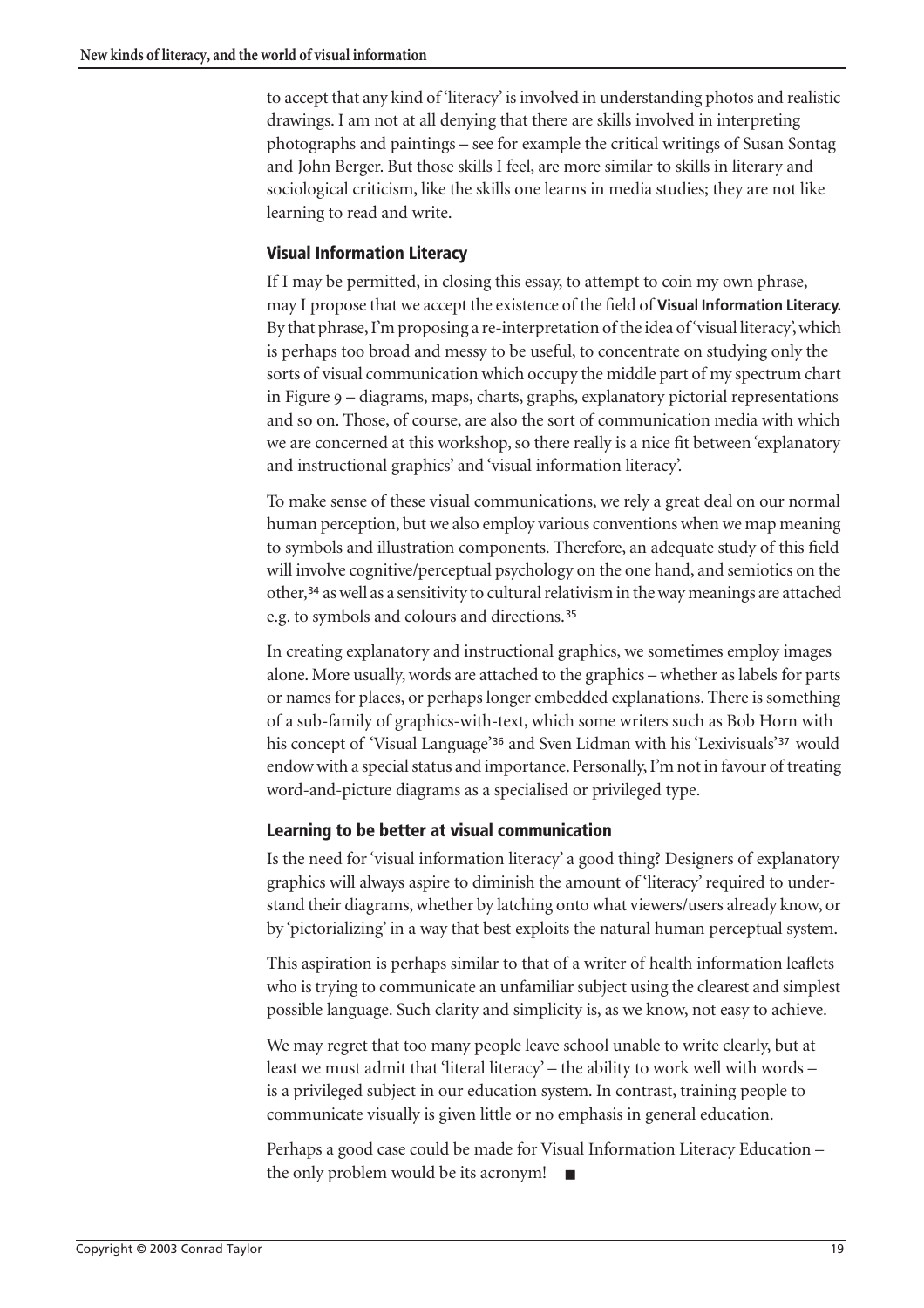to accept that any kind of 'literacy' is involved in understanding photos and realistic drawings. I am not at all denying that there are skills involved in interpreting photographs and paintings – see for example the critical writings of Susan Sontag and John Berger. But those skills I feel, are more similar to skills in literary and sociological criticism, like the skills one learns in media studies; they are not like learning to read and write.

### **Visual Information Literacy**

If I may be permitted, in closing this essay, to attempt to coin my own phrase, may I propose that we accept the existence of the field of **Visual Information Literacy.** By that phrase, I'm proposing a re-interpretation of the idea of 'visual literacy', which is perhaps too broad and messy to be useful, to concentrate on studying only the sorts of visual communication which occupy the middle part of my spectrum chart in Figure – diagrams, maps, charts, graphs, explanatory pictorial representations and so on. Those, of course, are also the sort of communication media with which we are concerned at this workshop, so there really is a nice fit between 'explanatory and instructional graphics' and 'visual information literacy'.

To make sense of these visual communications, we rely a great deal on our normal human perception, but we also employ various conventions when we map meaning to symbols and illustration components. Therefore, an adequate study of this field will involve cognitive/perceptual psychology on the one hand, and semiotics on the other,[34](#page-21-4) as well as a sensitivity to cultural relativism in the way meanings are attached e.g. to symbols and colours and directions.[35](#page-21-5)

In creating explanatory and instructional graphics, we sometimes employ images alone. More usually, words are attached to the graphics – whether as labels for parts or names for places, or perhaps longer embedded explanations. There is something of a sub-family of graphics-with-text, which some writers such as Bob Horn with his concept of 'Visual Language'<sup>[36](#page-21-2)</sup> and Sven Lidman with his 'Lexivisuals'<sup>[37](#page-21-3)</sup> would endow with a special status and importance. Personally, I'm not in favour of treating word-and-picture diagrams as a specialised or privileged type.

### **Learning to be better at visual communication**

Is the need for 'visual information literacy' a good thing? Designers of explanatory graphics will always aspire to diminish the amount of 'literacy' required to understand their diagrams, whether by latching onto what viewers/users already know, or by 'pictorializing' in a way that best exploits the natural human perceptual system.

This aspiration is perhaps similar to that of a writer of health information leaflets who is trying to communicate an unfamiliar subject using the clearest and simplest possible language. Such clarity and simplicity is, as we know, not easy to achieve.

We may regret that too many people leave school unable to write clearly, but at least we must admit that 'literal literacy' – the ability to work well with words – is a privileged subject in our education system. In contrast, training people to communicate visually is given little or no emphasis in general education.

Perhaps a good case could be made for Visual Information Literacy Education – the only problem would be its acronym! ■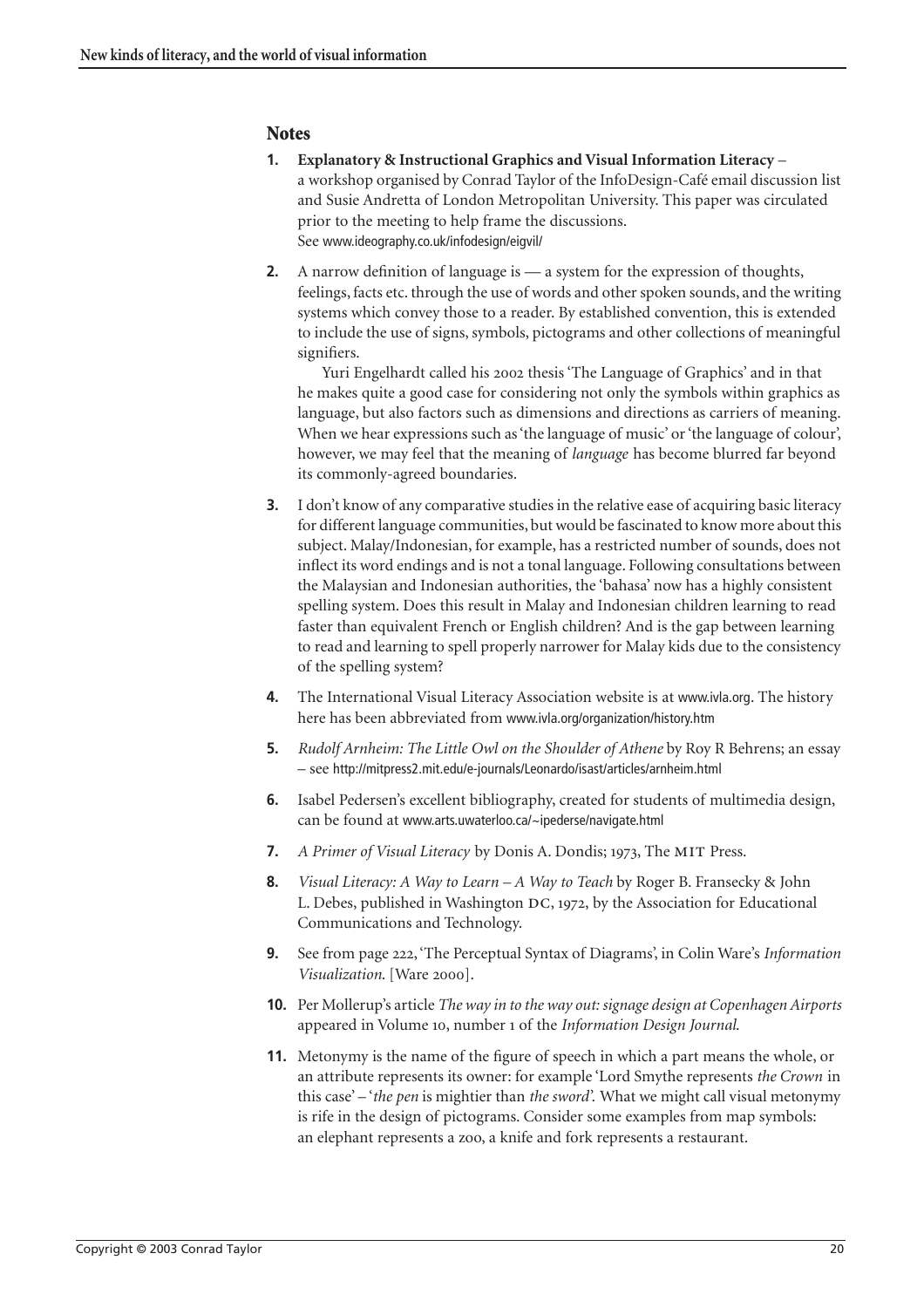#### **Notes**

- **1. Explanatory & Instructional Graphics and Visual Information Literacy** a workshop organised by Conrad Taylor of the InfoDesign-Café email discussion list and Susie Andretta of London Metropolitan University. This paper was circulated prior to the meeting to help frame the discussions. See www.ideography.co.uk/infodesign/eigvil/
- **2.** A narrow definition of language is a system for the expression of thoughts, feelings, facts etc. through the use of words and other spoken sounds, and the writing systems which convey those to a reader. By established convention, this is extended to include the use of signs, symbols, pictograms and other collections of meaningful signifiers.

Yuri Engelhardt called his 2002 thesis 'The Language of Graphics' and in that he makes quite a good case for considering not only the symbols within graphics as language, but also factors such as dimensions and directions as carriers of meaning. When we hear expressions such as 'the language of music' or 'the language of colour', however, we may feel that the meaning of *language* has become blurred far beyond its commonly-agreed boundaries.

- <span id="page-19-0"></span>**3.** I don't know of any comparative studies in the relative ease of acquiring basic literacy for different language communities, but would be fascinated to know more about this subject. Malay/Indonesian, for example, has a restricted number of sounds, does not inflect its word endings and is not a tonal language. Following consultations between the Malaysian and Indonesian authorities, the 'bahasa' now has a highly consistent spelling system. Does this result in Malay and Indonesian children learning to read faster than equivalent French or English children? And is the gap between learning to read and learning to spell properly narrower for Malay kids due to the consistency of the spelling system?
- <span id="page-19-1"></span>**4.** The International Visual Literacy Association website is at www.ivla.org. The history here has been abbreviated from www.ivla.org/organization/history.htm
- <span id="page-19-3"></span>**5.** *Rudolf Arnheim: The Little Owl on the Shoulder of Athene* by Roy R Behrens; an essay – see http://mitpress2.mit.edu/e-journals/Leonardo/isast/articles/arnheim.html
- **6.** Isabel Pedersen's excellent bibliography, created for students of multimedia design, can be found at www.arts.uwaterloo.ca/~ipederse/navigate.html
- <span id="page-19-4"></span>**7.** *A Primer of Visual Literacy* by Donis A. Dondis; 1973, The MIT Press.
- <span id="page-19-2"></span>**8.** *Visual Literacy: A Way to Learn – A Way to Teach* by Roger B. Fransecky & John L. Debes, published in Washington  $DC$ , 1972, by the Association for Educational Communications and Technology.
- <span id="page-19-5"></span>**9.** See from page 222, 'The Perceptual Syntax of Diagrams', in Colin Ware's *Information Visualization*. [Ware 2000].
- <span id="page-19-6"></span>**10.** Per Mollerup's article *The way in to the way out: signage design at Copenhagen Airports* appeared in Volume 10, number 1 of the *Information Design Journal*.
- <span id="page-19-7"></span>**11.** Metonymy is the name of the figure of speech in which a part means the whole, or an attribute represents its owner: for example 'Lord Smythe represents *the Crown* in this case' – '*the pen* is mightier than *the sword*'. What we might call visual metonymy is rife in the design of pictograms. Consider some examples from map symbols: an elephant represents a zoo, a knife and fork represents a restaurant.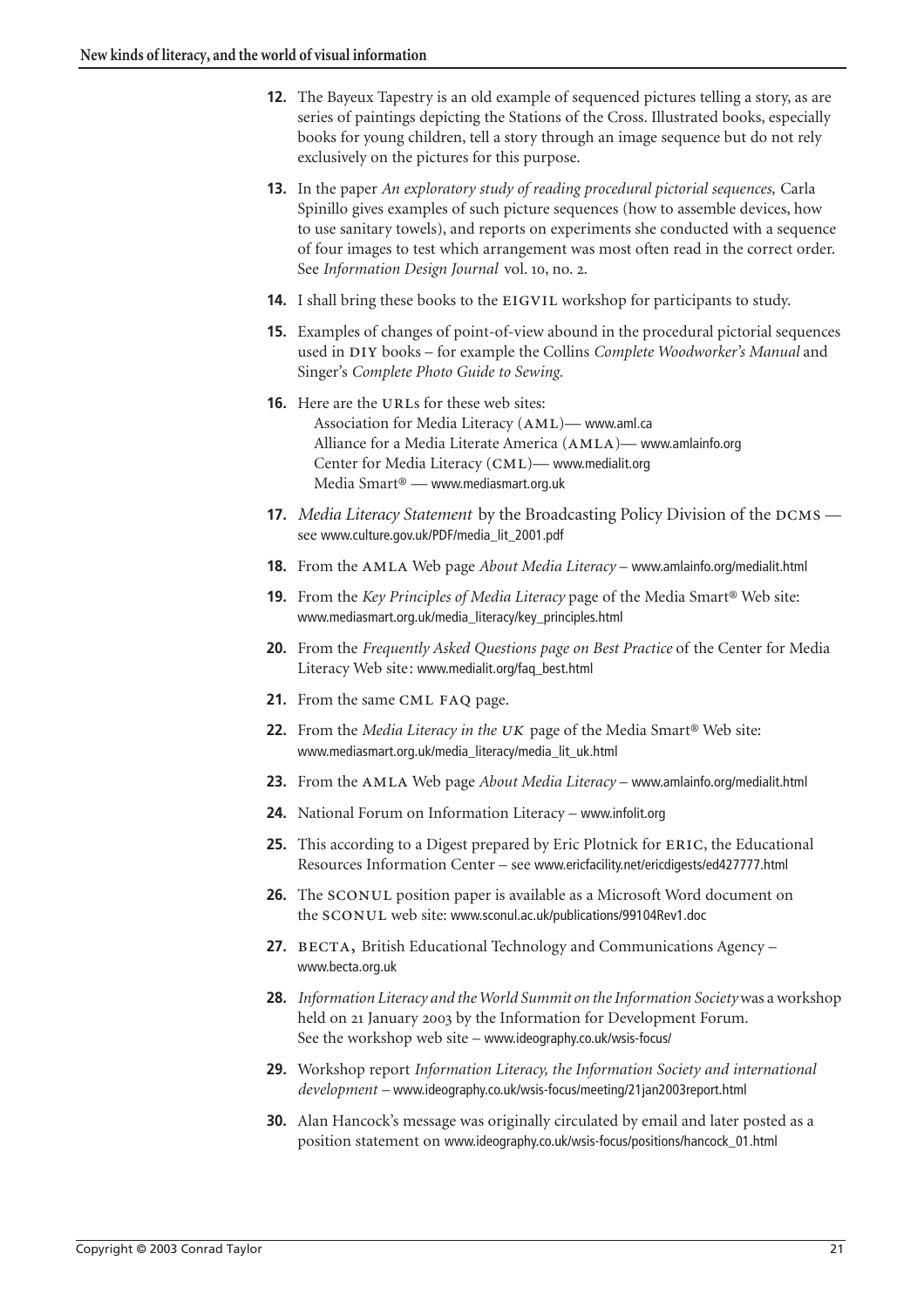- <span id="page-20-0"></span>**12.** The Bayeux Tapestry is an old example of sequenced pictures telling a story, as are series of paintings depicting the Stations of the Cross. Illustrated books, especially books for young children, tell a story through an image sequence but do not rely exclusively on the pictures for this purpose.
- **13.** In the paper *An exploratory study of reading procedural pictorial sequences,* Carla Spinillo gives examples of such picture sequences (how to assemble devices, how to use sanitary towels), and reports on experiments she conducted with a sequence of four images to test which arrangement was most often read in the correct order. See *Information Design Journal* vol. 10, no. 2.
- <span id="page-20-1"></span>**14.** I shall bring these books to the EIGVIL workshop for participants to study.
- **15.** Examples of changes of point-of-view abound in the procedural pictorial sequences used in DIY books – for example the Collins *Complete Woodworker's Manual* and Singer's *Complete Photo Guide to Sewing.*
- <span id="page-20-2"></span>**16.** Here are the URLs for these web sites: Association for Media Literacy (AML)— www.aml.ca Alliance for a Media Literate America (AMLA)— www.amlainfo.org Center for Media Literacy (CML)— www.medialit.org Media Smart® — www.mediasmart.org.uk
- <span id="page-20-3"></span>**17.** *Media Literacy Statement* by the Broadcasting Policy Division of the  $DCMS$  see www.culture.gov.uk/PDF/media\_lit\_2001.pdf
- <span id="page-20-4"></span>**18.** From the AMLA Web page *About Media Literacy* – www.amlainfo.org/medialit.html
- <span id="page-20-5"></span>**19.** From the *Key Principles of Media Literacy* page of the Media Smart® Web site: www.mediasmart.org.uk/media\_literacy/key\_principles.html
- <span id="page-20-6"></span>**20.** From the *Frequently Asked Questions page on Best Practice* of the Center for Media Literacy Web site: www.medialit.org/faq\_best.html
- <span id="page-20-7"></span>**21.** From the same CML FAQ page.
- **22.** From the *Media Literacy in the UK* page of the Media Smart<sup>®</sup> Web site: www.mediasmart.org.uk/media\_literacy/media\_lit\_uk.html
- <span id="page-20-8"></span>**23.** From the AMLA Web page *About Media Literacy* – www.amlainfo.org/medialit.html
- **24.** National Forum on Information Literacy www.infolit.org
- <span id="page-20-9"></span>**25.** This according to a Digest prepared by Eric Plotnick for ERIC, the Educational Resources Information Center – see www.ericfacility.net/ericdigests/ed427777.html
- <span id="page-20-10"></span>**26.** The SCONUL position paper is available as a Microsoft Word document on the SCONUL web site: www.sconul.ac.uk/publications/99104Rev1.doc
- <span id="page-20-11"></span>**27.** BECTA, British Educational Technology and Communications Agency – www.becta.org.uk
- <span id="page-20-12"></span>**28.** *Information Literacy and the World Summit on the Information Society*was a workshop held on 21 January 2003 by the Information for Development Forum. See the workshop web site – www.ideography.co.uk/wsis-focus/
- <span id="page-20-13"></span>**29.** Workshop report *Information Literacy, the Information Society and international development –* www.ideography.co.uk/wsis-focus/meeting/21jan2003report.html
- <span id="page-20-14"></span>**30.** Alan Hancock's message was originally circulated by email and later posted as a position statement on www.ideography.co.uk/wsis-focus/positions/hancock\_01.html